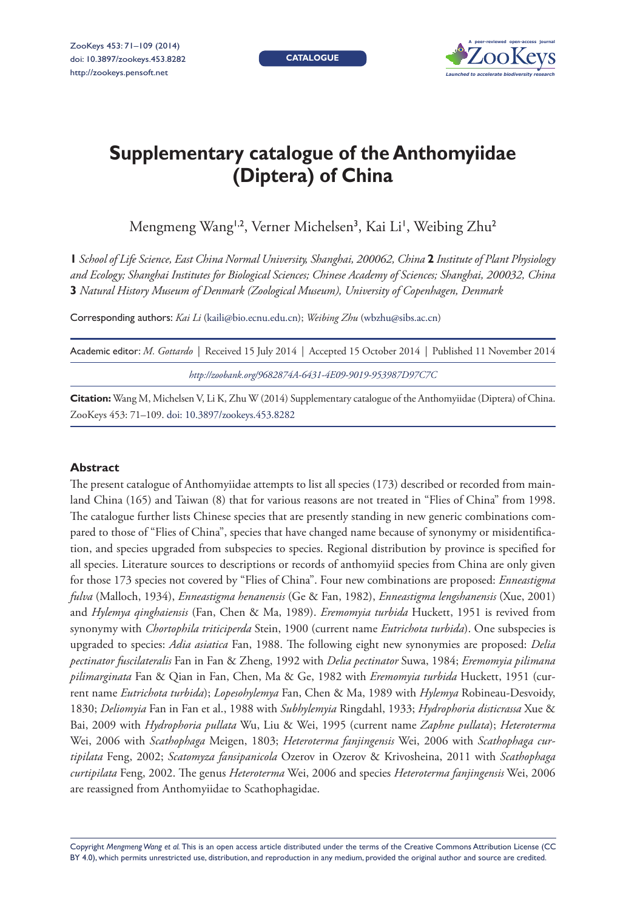**CATALOGUE**



# **Supplementary catalogue of the Anthomyiidae (Diptera) of China**

Mengmeng Wang<sup>1,2</sup>, Verner Michelsen<sup>3</sup>, Kai Li', Weibing Zhu<sup>2</sup>

**1** *School of Life Science, East China Normal University, Shanghai, 200062, China* **2** *Institute of Plant Physiology and Ecology; Shanghai Institutes for Biological Sciences; Chinese Academy of Sciences; Shanghai, 200032, China*  **3** *Natural History Museum of Denmark (Zoological Museum), University of Copenhagen, Denmark*

Corresponding authors: *Kai Li* ([kaili@bio.ecnu.edu.cn\)](mailto:kaili@bio.ecnu.edu.cn); *Weibing Zhu* [\(wbzhu@sibs.ac.cn](mailto:wbzhu@sibs.ac.cn))

| Academic editor: M. Gottardo   Received 15 July 2014   Accepted 15 October 2014   Published 11 November 2014 |
|--------------------------------------------------------------------------------------------------------------|
| http://zoobank.org/9682874A-6431-4E09-9019-953987D97C7C                                                      |
| _____                                                                                                        |

**Citation:** Wang M, Michelsen V, Li K, Zhu W (2014) Supplementary catalogue of the Anthomyiidae (Diptera) of China. ZooKeys 453: 71–109. [doi: 10.3897/zookeys.453.8282](http://dx.doi.org/10.3897/zookeys.453.8282)

#### **Abstract**

The present catalogue of Anthomyiidae attempts to list all species (173) described or recorded from mainland China (165) and Taiwan (8) that for various reasons are not treated in "Flies of China" from 1998. The catalogue further lists Chinese species that are presently standing in new generic combinations compared to those of "Flies of China", species that have changed name because of synonymy or misidentification, and species upgraded from subspecies to species. Regional distribution by province is specified for all species. Literature sources to descriptions or records of anthomyiid species from China are only given for those 173 species not covered by "Flies of China". Four new combinations are proposed: *Enneastigma fulva* (Malloch, 1934), *Enneastigma henanensis* (Ge & Fan, 1982), *Enneastigma lengshanensis* (Xue, 2001) and *Hylemya qinghaiensis* (Fan, Chen & Ma, 1989). *Eremomyia turbida* Huckett, 1951 is revived from synonymy with *Chortophila triticiperda* Stein, 1900 (current name *Eutrichota turbida*). One subspecies is upgraded to species: *Adia asiatica* Fan, 1988. The following eight new synonymies are proposed: *Delia pectinator fuscilateralis* Fan in Fan & Zheng, 1992 with *Delia pectinator* Suwa, 1984; *Eremomyia pilimana pilimarginata* Fan & Qian in Fan, Chen, Ma & Ge, 1982 with *Eremomyia turbida* Huckett, 1951 (current name *Eutrichota turbida*); *Lopesohylemya* Fan, Chen & Ma, 1989 with *Hylemya* Robineau-Desvoidy, 1830; *Deliomyia* Fan in Fan et al., 1988 with *Subhylemyia* Ringdahl, 1933; *Hydrophoria disticrassa* Xue & Bai, 2009 with *Hydrophoria pullata* Wu, Liu & Wei, 1995 (current name *Zaphne pullata*); *Heteroterma* Wei, 2006 with *Scathophaga* Meigen, 1803; *Heteroterma fanjingensis* Wei, 2006 with *Scathophaga curtipilata* Feng, 2002; *Scatomyza fansipanicola* Ozerov in Ozerov & Krivosheina, 2011 with *Scathophaga curtipilata* Feng, 2002. The genus *Heteroterma* Wei, 2006 and species *Heteroterma fanjingensis* Wei, 2006 are reassigned from Anthomyiidae to Scathophagidae.

Copyright *Mengmeng Wang et al.* This is an open access article distributed under the terms of the [Creative Commons Attribution License \(CC](http://creativecommons.org/licenses/by/4.0/)  [BY 4.0\)](http://creativecommons.org/licenses/by/4.0/), which permits unrestricted use, distribution, and reproduction in any medium, provided the original author and source are credited.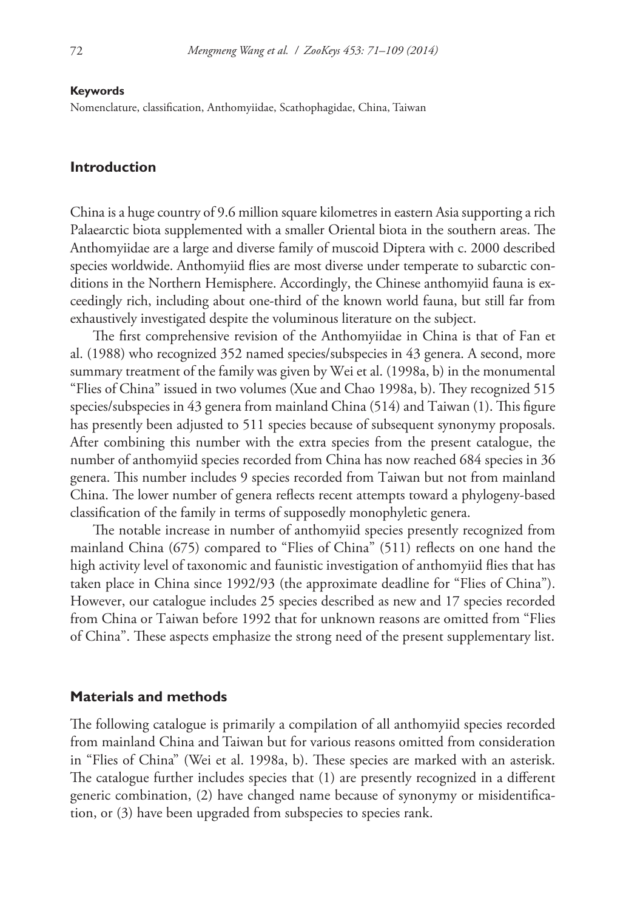#### **Keywords**

Nomenclature, classification, Anthomyiidae, Scathophagidae, China, Taiwan

#### **Introduction**

China is a huge country of 9.6 million square kilometres in eastern Asia supporting a rich Palaearctic biota supplemented with a smaller Oriental biota in the southern areas. The Anthomyiidae are a large and diverse family of muscoid Diptera with c. 2000 described species worldwide. Anthomyiid flies are most diverse under temperate to subarctic conditions in the Northern Hemisphere. Accordingly, the Chinese anthomyiid fauna is exceedingly rich, including about one-third of the known world fauna, but still far from exhaustively investigated despite the voluminous literature on the subject.

The first comprehensive revision of the Anthomyiidae in China is that of Fan et al. (1988) who recognized 352 named species/subspecies in 43 genera. A second, more summary treatment of the family was given by Wei et al. (1998a, b) in the monumental "Flies of China" issued in two volumes (Xue and Chao 1998a, b). They recognized 515 species/subspecies in 43 genera from mainland China (514) and Taiwan (1). This figure has presently been adjusted to 511 species because of subsequent synonymy proposals. After combining this number with the extra species from the present catalogue, the number of anthomyiid species recorded from China has now reached 684 species in 36 genera. This number includes 9 species recorded from Taiwan but not from mainland China. The lower number of genera reflects recent attempts toward a phylogeny-based classification of the family in terms of supposedly monophyletic genera.

The notable increase in number of anthomyiid species presently recognized from mainland China (675) compared to "Flies of China" (511) reflects on one hand the high activity level of taxonomic and faunistic investigation of anthomyiid flies that has taken place in China since 1992/93 (the approximate deadline for "Flies of China"). However, our catalogue includes 25 species described as new and 17 species recorded from China or Taiwan before 1992 that for unknown reasons are omitted from "Flies of China". These aspects emphasize the strong need of the present supplementary list.

#### **Materials and methods**

The following catalogue is primarily a compilation of all anthomyiid species recorded from mainland China and Taiwan but for various reasons omitted from consideration in "Flies of China" (Wei et al. 1998a, b). These species are marked with an asterisk. The catalogue further includes species that (1) are presently recognized in a different generic combination, (2) have changed name because of synonymy or misidentification, or (3) have been upgraded from subspecies to species rank.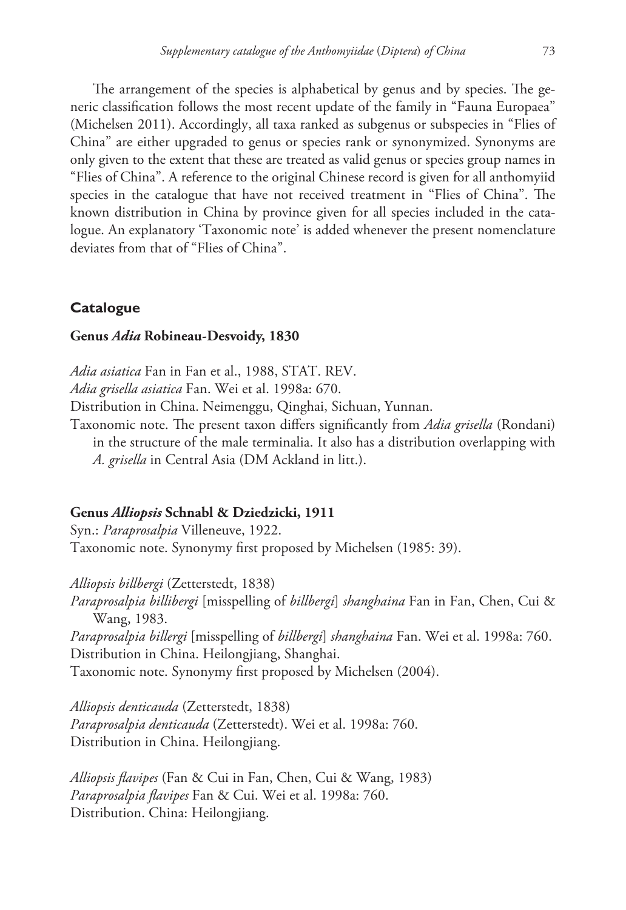The arrangement of the species is alphabetical by genus and by species. The generic classification follows the most recent update of the family in "Fauna Europaea" (Michelsen 2011). Accordingly, all taxa ranked as subgenus or subspecies in "Flies of China" are either upgraded to genus or species rank or synonymized. Synonyms are only given to the extent that these are treated as valid genus or species group names in "Flies of China". A reference to the original Chinese record is given for all anthomyiid species in the catalogue that have not received treatment in "Flies of China". The known distribution in China by province given for all species included in the catalogue. An explanatory 'Taxonomic note' is added whenever the present nomenclature deviates from that of "Flies of China".

# **Catalogue**

# **Genus** *Adia* **Robineau-Desvoidy, 1830**

*Adia asiatica* Fan in Fan et al., 1988, STAT. REV. *Adia grisella asiatica* Fan. Wei et al. 1998a: 670. Distribution in China. Neimenggu, Qinghai, Sichuan, Yunnan. Taxonomic note. The present taxon differs significantly from *Adia grisella* (Rondani) in the structure of the male terminalia. It also has a distribution overlapping with *A. grisella* in Central Asia (DM Ackland in litt.).

# **Genus** *Alliopsis* **Schnabl & Dziedzicki, 1911**

Syn.: *Paraprosalpia* Villeneuve, 1922. Taxonomic note. Synonymy first proposed by Michelsen (1985: 39).

*Alliopsis billbergi* (Zetterstedt, 1838)

*Paraprosalpia billibergi* [misspelling of *billbergi*] *shanghaina* Fan in Fan, Chen, Cui & Wang, 1983.

*Paraprosalpia billergi* [misspelling of *billbergi*] *shanghaina* Fan. Wei et al. 1998a: 760. Distribution in China. Heilongjiang, Shanghai.

Taxonomic note. Synonymy first proposed by Michelsen (2004).

*Alliopsis denticauda* (Zetterstedt, 1838) *Paraprosalpia denticauda* (Zetterstedt). Wei et al. 1998a: 760. Distribution in China. Heilongjiang.

*Alliopsis flavipes* (Fan & Cui in Fan, Chen, Cui & Wang, 1983) *Paraprosalpia flavipes* Fan & Cui. Wei et al. 1998a: 760. Distribution. China: Heilongjiang.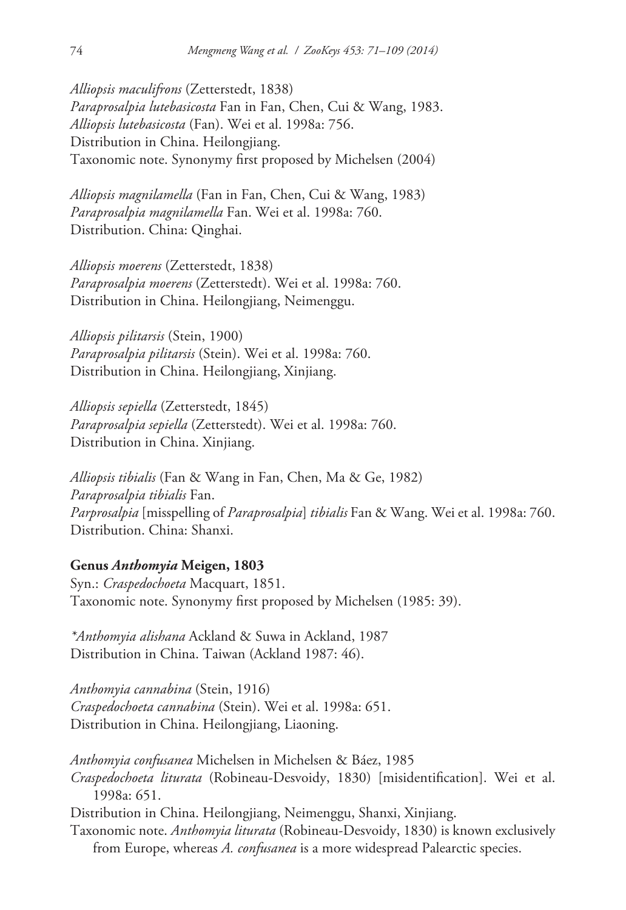*Alliopsis maculifrons* (Zetterstedt, 1838) *Paraprosalpia lutebasicosta* Fan in Fan, Chen, Cui & Wang, 1983. *Alliopsis lutebasicosta* (Fan). Wei et al. 1998a: 756. Distribution in China. Heilongjiang. Taxonomic note. Synonymy first proposed by Michelsen (2004)

*Alliopsis magnilamella* (Fan in Fan, Chen, Cui & Wang, 1983) *Paraprosalpia magnilamella* Fan. Wei et al. 1998a: 760. Distribution. China: Qinghai.

*Alliopsis moerens* (Zetterstedt, 1838) *Paraprosalpia moerens* (Zetterstedt). Wei et al. 1998a: 760. Distribution in China. Heilongjiang, Neimenggu.

*Alliopsis pilitarsis* (Stein, 1900) *Paraprosalpia pilitarsis* (Stein). Wei et al. 1998a: 760. Distribution in China. Heilongjiang, Xinjiang.

*Alliopsis sepiella* (Zetterstedt, 1845) *Paraprosalpia sepiella* (Zetterstedt). Wei et al. 1998a: 760. Distribution in China. Xinjiang.

*Alliopsis tibialis* (Fan & Wang in Fan, Chen, Ma & Ge, 1982) *Paraprosalpia tibialis* Fan. *Parprosalpia* [misspelling of *Paraprosalpia*] *tibialis* Fan & Wang. Wei et al. 1998a: 760. Distribution. China: Shanxi.

## **Genus** *Anthomyia* **Meigen, 1803**

Syn.: *Craspedochoeta* Macquart, 1851. Taxonomic note. Synonymy first proposed by Michelsen (1985: 39).

*\*Anthomyia alishana* Ackland & Suwa in Ackland, 1987 Distribution in China. Taiwan (Ackland 1987: 46).

*Anthomyia cannabina* (Stein, 1916) *Craspedochoeta cannabina* (Stein). Wei et al. 1998a: 651. Distribution in China. Heilongjiang, Liaoning.

*Anthomyia confusanea* Michelsen in Michelsen & Báez, 1985 *Craspedochoeta liturata* (Robineau-Desvoidy, 1830) [misidentification]. Wei et al. 1998a: 651. Distribution in China. Heilongjiang, Neimenggu, Shanxi, Xinjiang. Taxonomic note. *Anthomyia liturata* (Robineau-Desvoidy, 1830) is known exclusively

from Europe, whereas *A. confusanea* is a more widespread Palearctic species.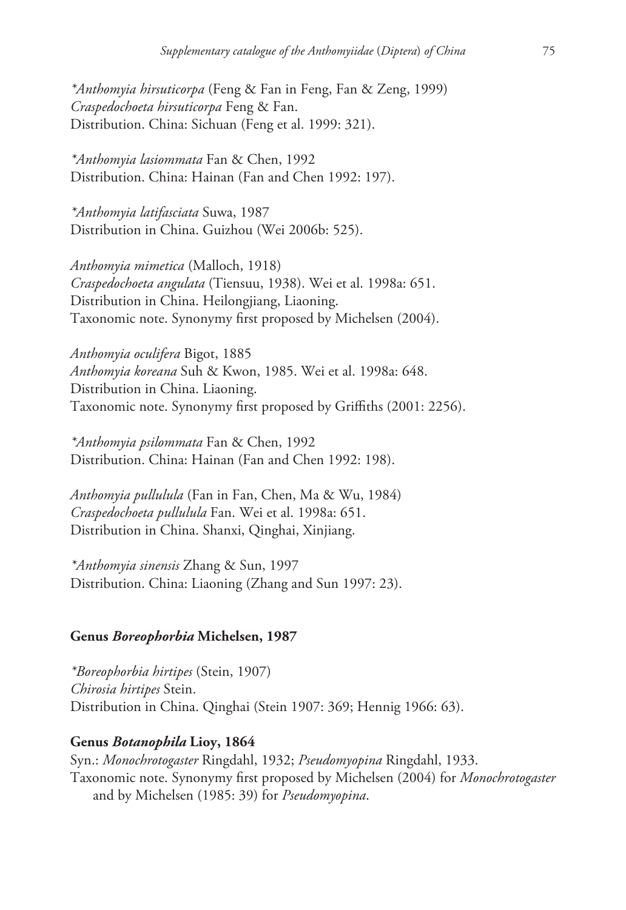*\*Anthomyia hirsuticorpa* (Feng & Fan in Feng, Fan & Zeng, 1999) *Craspedochoeta hirsuticorpa* Feng & Fan. Distribution. China: Sichuan (Feng et al. 1999: 321).

*\*Anthomyia lasiommata* Fan & Chen, 1992 Distribution. China: Hainan (Fan and Chen 1992: 197).

*\*Anthomyia latifasciata* Suwa, 1987 Distribution in China. Guizhou (Wei 2006b: 525).

*Anthomyia mimetica* (Malloch, 1918) *Craspedochoeta angulata* (Tiensuu, 1938). Wei et al. 1998a: 651. Distribution in China. Heilongjiang, Liaoning. Taxonomic note. Synonymy first proposed by Michelsen (2004).

*Anthomyia oculifera* Bigot, 1885 *Anthomyia koreana* Suh & Kwon, 1985. Wei et al. 1998a: 648. Distribution in China. Liaoning. Taxonomic note. Synonymy first proposed by Griffiths (2001: 2256).

*\*Anthomyia psilommata* Fan & Chen, 1992 Distribution. China: Hainan (Fan and Chen 1992: 198).

*Anthomyia pullulula* (Fan in Fan, Chen, Ma & Wu, 1984) *Craspedochoeta pullulula* Fan. Wei et al. 1998a: 651. Distribution in China. Shanxi, Qinghai, Xinjiang.

*\*Anthomyia sinensis* Zhang & Sun, 1997 Distribution. China: Liaoning (Zhang and Sun 1997: 23).

#### **Genus** *Boreophorbia* **Michelsen, 1987**

*\*Boreophorbia hirtipes* (Stein, 1907) *Chirosia hirtipes* Stein. Distribution in China. Qinghai (Stein 1907: 369; Hennig 1966: 63).

## **Genus** *Botanophila* **Lioy, 1864**

Syn.: *Monochrotogaster* Ringdahl, 1932; *Pseudomyopina* Ringdahl, 1933. Taxonomic note. Synonymy first proposed by Michelsen (2004) for *Monochrotogaster* and by Michelsen (1985: 39) for *Pseudomyopina*.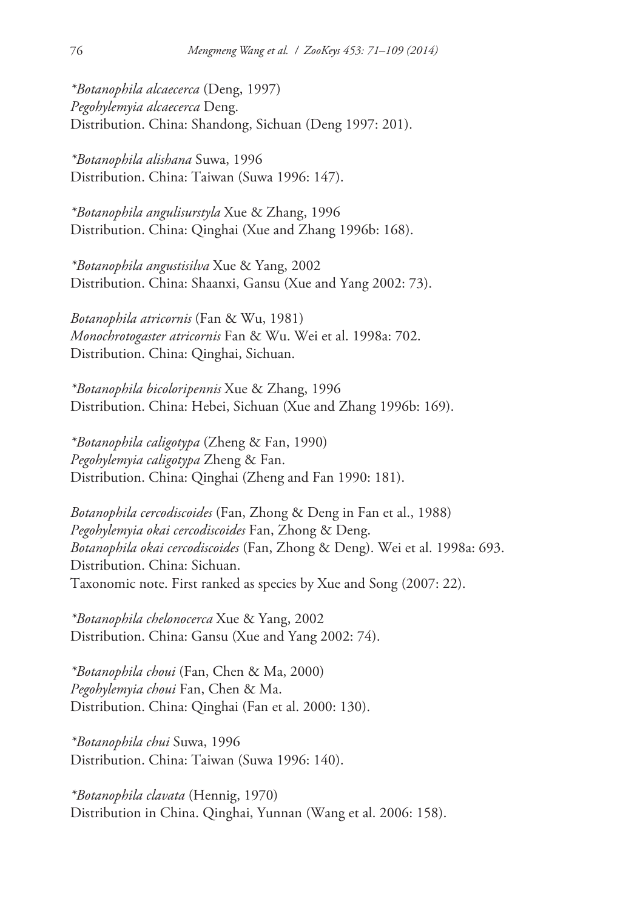*\*Botanophila alcaecerca* (Deng, 1997) *Pegohylemyia alcaecerca* Deng. Distribution. China: Shandong, Sichuan (Deng 1997: 201).

*\*Botanophila alishana* Suwa, 1996 Distribution. China: Taiwan (Suwa 1996: 147).

*\*Botanophila angulisurstyla* Xue & Zhang, 1996 Distribution. China: Qinghai (Xue and Zhang 1996b: 168).

*\*Botanophila angustisilva* Xue & Yang, 2002 Distribution. China: Shaanxi, Gansu (Xue and Yang 2002: 73).

*Botanophila atricornis* (Fan & Wu, 1981) *Monochrotogaster atricornis* Fan & Wu. Wei et al. 1998a: 702. Distribution. China: Qinghai, Sichuan.

*\*Botanophila bicoloripennis* Xue & Zhang, 1996 Distribution. China: Hebei, Sichuan (Xue and Zhang 1996b: 169).

*\*Botanophila caligotypa* (Zheng & Fan, 1990) *Pegohylemyia caligotypa* Zheng & Fan. Distribution. China: Qinghai (Zheng and Fan 1990: 181).

*Botanophila cercodiscoides* (Fan, Zhong & Deng in Fan et al., 1988) *Pegohylemyia okai cercodiscoides* Fan, Zhong & Deng. *Botanophila okai cercodiscoides* (Fan, Zhong & Deng). Wei et al. 1998a: 693. Distribution. China: Sichuan. Taxonomic note. First ranked as species by Xue and Song (2007: 22).

*\*Botanophila chelonocerca* Xue & Yang, 2002 Distribution. China: Gansu (Xue and Yang 2002: 74).

*\*Botanophila choui* (Fan, Chen & Ma, 2000) *Pegohylemyia choui* Fan, Chen & Ma. Distribution. China: Qinghai (Fan et al. 2000: 130).

*\*Botanophila chui* Suwa, 1996 Distribution. China: Taiwan (Suwa 1996: 140).

*\*Botanophila clavata* (Hennig, 1970) Distribution in China. Qinghai, Yunnan (Wang et al. 2006: 158).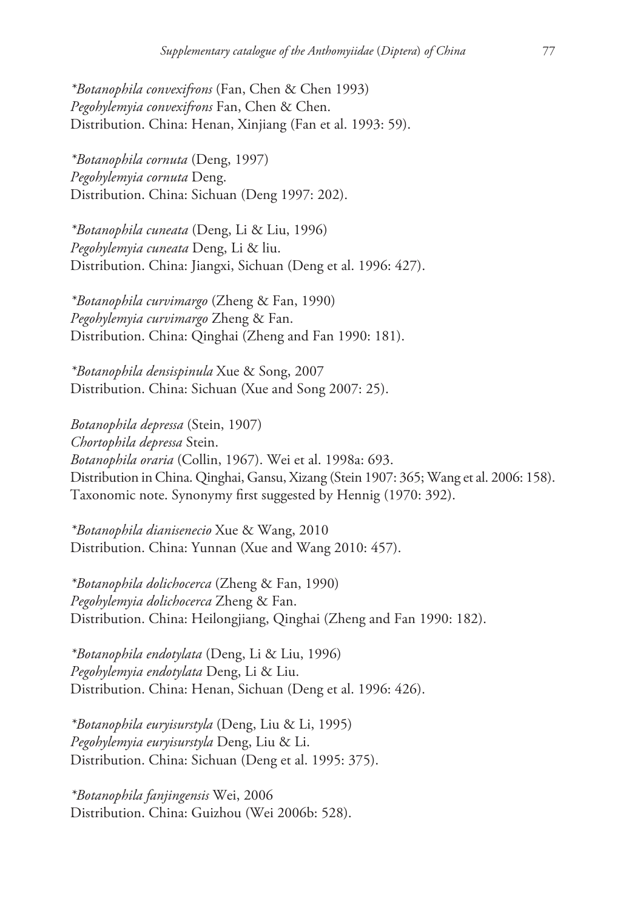*\*Botanophila convexifrons* (Fan, Chen & Chen 1993) *Pegohylemyia convexifrons* Fan, Chen & Chen. Distribution. China: Henan, Xinjiang (Fan et al. 1993: 59).

*\*Botanophila cornuta* (Deng, 1997) *Pegohylemyia cornuta* Deng. Distribution. China: Sichuan (Deng 1997: 202).

*\*Botanophila cuneata* (Deng, Li & Liu, 1996) *Pegohylemyia cuneata* Deng, Li & liu. Distribution. China: Jiangxi, Sichuan (Deng et al. 1996: 427).

*\*Botanophila curvimargo* (Zheng & Fan, 1990) *Pegohylemyia curvimargo* Zheng & Fan. Distribution. China: Qinghai (Zheng and Fan 1990: 181).

*\*Botanophila densispinula* Xue & Song, 2007 Distribution. China: Sichuan (Xue and Song 2007: 25).

*Botanophila depressa* (Stein, 1907) *Chortophila depressa* Stein. *Botanophila oraria* (Collin, 1967). Wei et al. 1998a: 693. Distribution in China. Qinghai, Gansu, Xizang (Stein 1907: 365; Wang et al. 2006: 158). Taxonomic note. Synonymy first suggested by Hennig (1970: 392).

*\*Botanophila dianisenecio* Xue & Wang, 2010 Distribution. China: Yunnan (Xue and Wang 2010: 457).

*\*Botanophila dolichocerca* (Zheng & Fan, 1990) *Pegohylemyia dolichocerca* Zheng & Fan. Distribution. China: Heilongjiang, Qinghai (Zheng and Fan 1990: 182).

*\*Botanophila endotylata* (Deng, Li & Liu, 1996) *Pegohylemyia endotylata* Deng, Li & Liu. Distribution. China: Henan, Sichuan (Deng et al. 1996: 426).

*\*Botanophila euryisurstyla* (Deng, Liu & Li, 1995) *Pegohylemyia euryisurstyla* Deng, Liu & Li. Distribution. China: Sichuan (Deng et al. 1995: 375).

*\*Botanophila fanjingensis* Wei, 2006 Distribution. China: Guizhou (Wei 2006b: 528).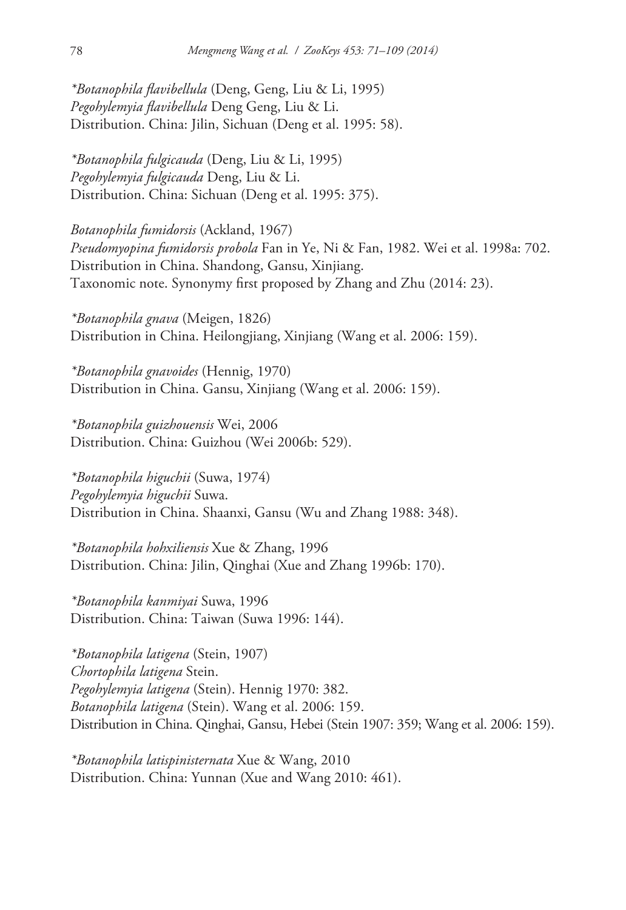*\*Botanophila flavibellula* (Deng, Geng, Liu & Li, 1995) *Pegohylemyia flavibellula* Deng Geng, Liu & Li. Distribution. China: Jilin, Sichuan (Deng et al. 1995: 58).

*\*Botanophila fulgicauda* (Deng, Liu & Li, 1995) *Pegohylemyia fulgicauda* Deng, Liu & Li. Distribution. China: Sichuan (Deng et al. 1995: 375).

*Botanophila fumidorsis* (Ackland, 1967) *Pseudomyopina fumidorsis probola* Fan in Ye, Ni & Fan, 1982. Wei et al. 1998a: 702. Distribution in China. Shandong, Gansu, Xinjiang. Taxonomic note. Synonymy first proposed by Zhang and Zhu (2014: 23).

*\*Botanophila gnava* (Meigen, 1826) Distribution in China. Heilongjiang, Xinjiang (Wang et al. 2006: 159).

*\*Botanophila gnavoides* (Hennig, 1970) Distribution in China. Gansu, Xinjiang (Wang et al. 2006: 159).

*\*Botanophila guizhouensis* Wei, 2006 Distribution. China: Guizhou (Wei 2006b: 529).

*\*Botanophila higuchii* (Suwa, 1974) *Pegohylemyia higuchii* Suwa. Distribution in China. Shaanxi, Gansu (Wu and Zhang 1988: 348).

*\*Botanophila hohxiliensis* Xue & Zhang, 1996 Distribution. China: Jilin, Qinghai (Xue and Zhang 1996b: 170).

*\*Botanophila kanmiyai* Suwa, 1996 Distribution. China: Taiwan (Suwa 1996: 144).

*\*Botanophila latigena* (Stein, 1907) *Chortophila latigena* Stein. *Pegohylemyia latigena* (Stein). Hennig 1970: 382. *Botanophila latigena* (Stein). Wang et al. 2006: 159. Distribution in China. Qinghai, Gansu, Hebei (Stein 1907: 359; Wang et al. 2006: 159).

*\*Botanophila latispinisternata* Xue & Wang, 2010 Distribution. China: Yunnan (Xue and Wang 2010: 461).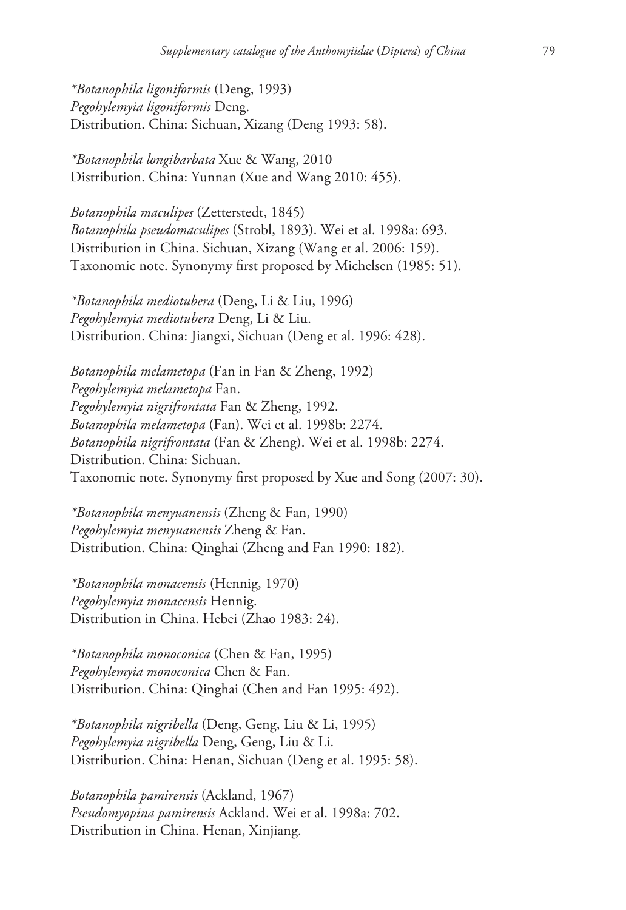*\*Botanophila ligoniformis* (Deng, 1993) *Pegohylemyia ligoniformis* Deng. Distribution. China: Sichuan, Xizang (Deng 1993: 58).

*\*Botanophila longibarbata* Xue & Wang, 2010 Distribution. China: Yunnan (Xue and Wang 2010: 455).

*Botanophila maculipes* (Zetterstedt, 1845) *Botanophila pseudomaculipes* (Strobl, 1893). Wei et al. 1998a: 693. Distribution in China. Sichuan, Xizang (Wang et al. 2006: 159). Taxonomic note. Synonymy first proposed by Michelsen (1985: 51).

*\*Botanophila mediotubera* (Deng, Li & Liu, 1996) *Pegohylemyia mediotubera* Deng, Li & Liu. Distribution. China: Jiangxi, Sichuan (Deng et al. 1996: 428).

*Botanophila melametopa* (Fan in Fan & Zheng, 1992) *Pegohylemyia melametopa* Fan. *Pegohylemyia nigrifrontata* Fan & Zheng, 1992. *Botanophila melametopa* (Fan). Wei et al. 1998b: 2274. *Botanophila nigrifrontata* (Fan & Zheng). Wei et al. 1998b: 2274. Distribution. China: Sichuan. Taxonomic note. Synonymy first proposed by Xue and Song (2007: 30).

*\*Botanophila menyuanensis* (Zheng & Fan, 1990) *Pegohylemyia menyuanensis* Zheng & Fan. Distribution. China: Qinghai (Zheng and Fan 1990: 182).

*\*Botanophila monacensis* (Hennig, 1970) *Pegohylemyia monacensis* Hennig. Distribution in China. Hebei (Zhao 1983: 24).

*\*Botanophila monoconica* (Chen & Fan, 1995) *Pegohylemyia monoconica* Chen & Fan. Distribution. China: Qinghai (Chen and Fan 1995: 492).

*\*Botanophila nigribella* (Deng, Geng, Liu & Li, 1995) *Pegohylemyia nigribella* Deng, Geng, Liu & Li. Distribution. China: Henan, Sichuan (Deng et al. 1995: 58).

*Botanophila pamirensis* (Ackland, 1967) *Pseudomyopina pamirensis* Ackland. Wei et al. 1998a: 702. Distribution in China. Henan, Xinjiang.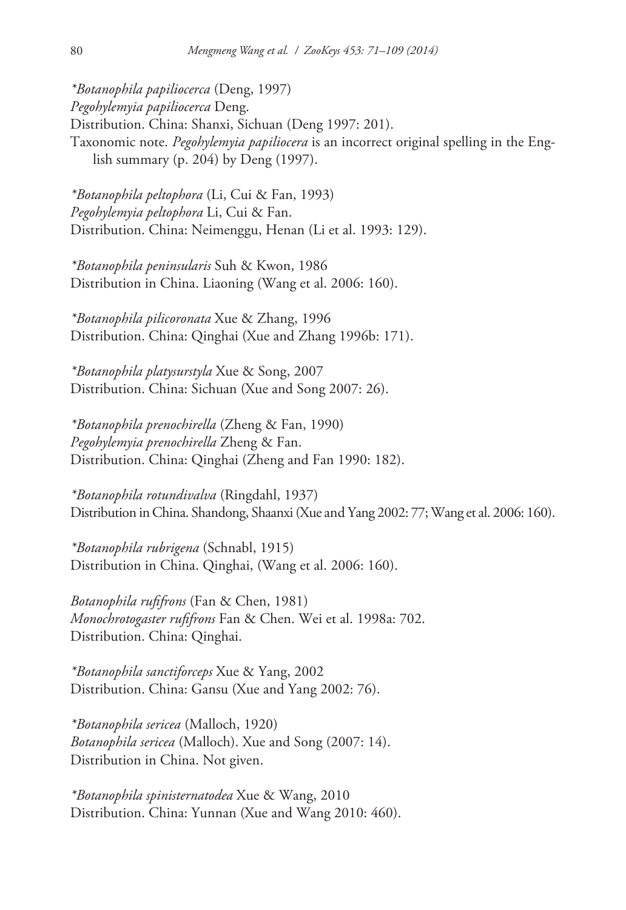*\*Botanophila papiliocerca* (Deng, 1997) *Pegohylemyia papiliocerca* Deng. Distribution. China: Shanxi, Sichuan (Deng 1997: 201). Taxonomic note. *Pegohylemyia papiliocera* is an incorrect original spelling in the English summary (p. 204) by Deng (1997).

*\*Botanophila peltophora* (Li, Cui & Fan, 1993) *Pegohylemyia peltophora* Li, Cui & Fan. Distribution. China: Neimenggu, Henan (Li et al. 1993: 129).

*\*Botanophila peninsularis* Suh & Kwon, 1986 Distribution in China. Liaoning (Wang et al. 2006: 160).

*\*Botanophila pilicoronata* Xue & Zhang, 1996 Distribution. China: Qinghai (Xue and Zhang 1996b: 171).

*\*Botanophila platysurstyla* Xue & Song, 2007 Distribution. China: Sichuan (Xue and Song 2007: 26).

*\*Botanophila prenochirella* (Zheng & Fan, 1990) *Pegohylemyia prenochirella* Zheng & Fan. Distribution. China: Qinghai (Zheng and Fan 1990: 182).

*\*Botanophila rotundivalva* (Ringdahl, 1937) Distribution in China. Shandong, Shaanxi (Xue and Yang 2002: 77; Wang et al. 2006: 160).

*\*Botanophila rubrigena* (Schnabl, 1915) Distribution in China. Qinghai, (Wang et al. 2006: 160).

*Botanophila rufifrons* (Fan & Chen, 1981) *Monochrotogaster rufifrons* Fan & Chen. Wei et al. 1998a: 702. Distribution. China: Qinghai.

*\*Botanophila sanctiforceps* Xue & Yang, 2002 Distribution. China: Gansu (Xue and Yang 2002: 76).

*\*Botanophila sericea* (Malloch, 1920) *Botanophila sericea* (Malloch). Xue and Song (2007: 14). Distribution in China. Not given.

*\*Botanophila spinisternatodea* Xue & Wang, 2010 Distribution. China: Yunnan (Xue and Wang 2010: 460).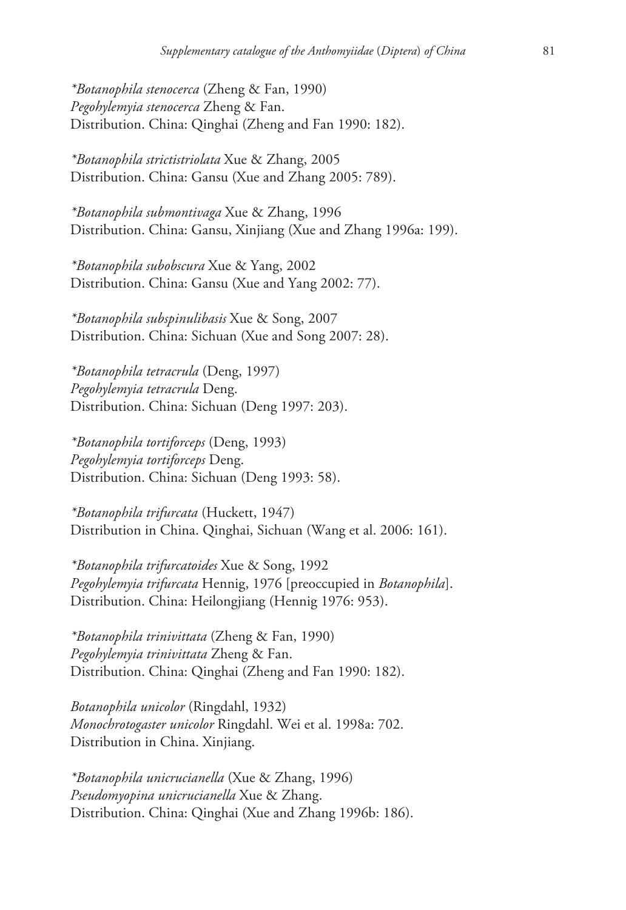*\*Botanophila stenocerca* (Zheng & Fan, 1990) *Pegohylemyia stenocerca* Zheng & Fan. Distribution. China: Qinghai (Zheng and Fan 1990: 182).

*\*Botanophila strictistriolata* Xue & Zhang, 2005 Distribution. China: Gansu (Xue and Zhang 2005: 789).

*\*Botanophila submontivaga* Xue & Zhang, 1996 Distribution. China: Gansu, Xinjiang (Xue and Zhang 1996a: 199).

*\*Botanophila subobscura* Xue & Yang, 2002 Distribution. China: Gansu (Xue and Yang 2002: 77).

*\*Botanophila subspinulibasis* Xue & Song, 2007 Distribution. China: Sichuan (Xue and Song 2007: 28).

*\*Botanophila tetracrula* (Deng, 1997) *Pegohylemyia tetracrula* Deng. Distribution. China: Sichuan (Deng 1997: 203).

*\*Botanophila tortiforceps* (Deng, 1993) *Pegohylemyia tortiforceps* Deng. Distribution. China: Sichuan (Deng 1993: 58).

*\*Botanophila trifurcata* (Huckett, 1947) Distribution in China. Qinghai, Sichuan (Wang et al. 2006: 161).

*\*Botanophila trifurcatoides* Xue & Song, 1992 *Pegohylemyia trifurcata* Hennig, 1976 [preoccupied in *Botanophila*]. Distribution. China: Heilongjiang (Hennig 1976: 953).

*\*Botanophila trinivittata* (Zheng & Fan, 1990) *Pegohylemyia trinivittata* Zheng & Fan. Distribution. China: Qinghai (Zheng and Fan 1990: 182).

*Botanophila unicolor* (Ringdahl, 1932) *Monochrotogaster unicolor* Ringdahl. Wei et al. 1998a: 702. Distribution in China. Xinjiang.

*\*Botanophila unicrucianella* (Xue & Zhang, 1996) *Pseudomyopina unicrucianella* Xue & Zhang. Distribution. China: Qinghai (Xue and Zhang 1996b: 186).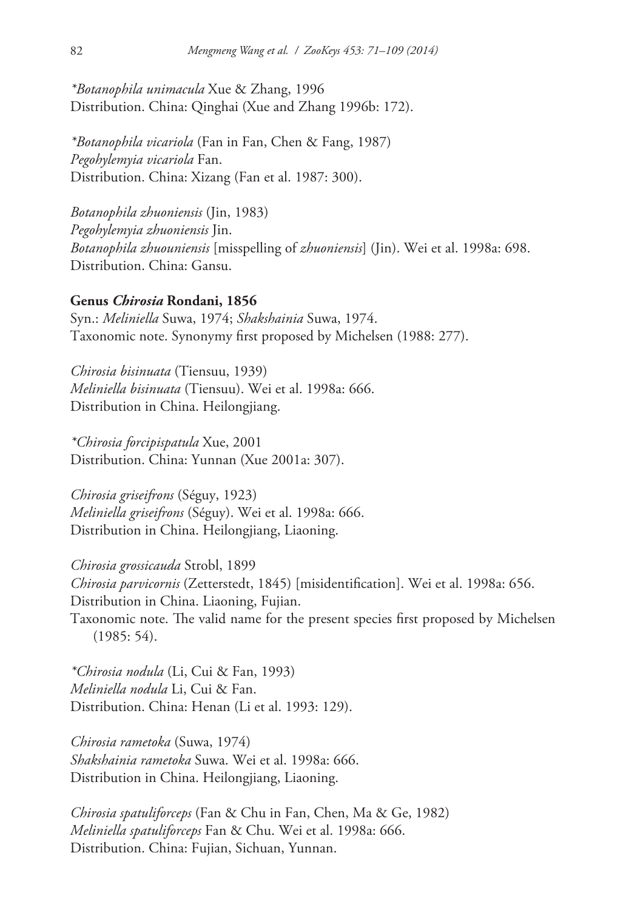*\*Botanophila unimacula* Xue & Zhang, 1996 Distribution. China: Qinghai (Xue and Zhang 1996b: 172).

*\*Botanophila vicariola* (Fan in Fan, Chen & Fang, 1987) *Pegohylemyia vicariola* Fan. Distribution. China: Xizang (Fan et al. 1987: 300).

*Botanophila zhuoniensis* (Jin, 1983) *Pegohylemyia zhuoniensis* Jin. *Botanophila zhuouniensis* [misspelling of *zhuoniensis*] (Jin). Wei et al. 1998a: 698. Distribution. China: Gansu.

# **Genus** *Chirosia* **Rondani, 1856**

Syn.: *Meliniella* Suwa, 1974; *Shakshainia* Suwa, 1974. Taxonomic note. Synonymy first proposed by Michelsen (1988: 277).

*Chirosia bisinuata* (Tiensuu, 1939) *Meliniella bisinuata* (Tiensuu). Wei et al. 1998a: 666. Distribution in China. Heilongjiang.

*\*Chirosia forcipispatula* Xue, 2001 Distribution. China: Yunnan (Xue 2001a: 307).

*Chirosia griseifrons* (Séguy, 1923) *Meliniella griseifrons* (Séguy). Wei et al. 1998a: 666. Distribution in China. Heilongjiang, Liaoning.

*Chirosia grossicauda* Strobl, 1899 *Chirosia parvicornis* (Zetterstedt, 1845) [misidentification]. Wei et al. 1998a: 656. Distribution in China. Liaoning, Fujian. Taxonomic note. The valid name for the present species first proposed by Michelsen (1985: 54).

*\*Chirosia nodula* (Li, Cui & Fan, 1993) *Meliniella nodula* Li, Cui & Fan. Distribution. China: Henan (Li et al. 1993: 129).

*Chirosia rametoka* (Suwa, 1974) *Shakshainia rametoka* Suwa. Wei et al. 1998a: 666. Distribution in China. Heilongjiang, Liaoning.

*Chirosia spatuliforceps* (Fan & Chu in Fan, Chen, Ma & Ge, 1982) *Meliniella spatuliforceps* Fan & Chu. Wei et al. 1998a: 666. Distribution. China: Fujian, Sichuan, Yunnan.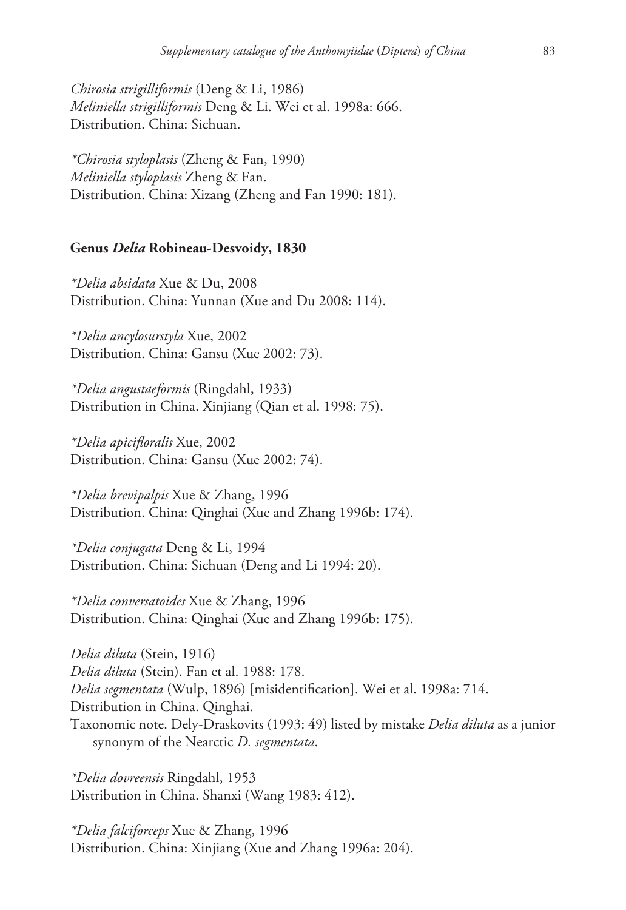*Chirosia strigilliformis* (Deng & Li, 1986) *Meliniella strigilliformis* Deng & Li. Wei et al. 1998a: 666. Distribution. China: Sichuan.

*\*Chirosia styloplasis* (Zheng & Fan, 1990) *Meliniella styloplasis* Zheng & Fan. Distribution. China: Xizang (Zheng and Fan 1990: 181).

#### **Genus** *Delia* **Robineau-Desvoidy, 1830**

*\*Delia absidata* Xue & Du, 2008 Distribution. China: Yunnan (Xue and Du 2008: 114).

*\*Delia ancylosurstyla* Xue, 2002 Distribution. China: Gansu (Xue 2002: 73).

*\*Delia angustaeformis* (Ringdahl, 1933) Distribution in China. Xinjiang (Qian et al. 1998: 75).

*\*Delia apicifloralis* Xue, 2002 Distribution. China: Gansu (Xue 2002: 74).

*\*Delia brevipalpis* Xue & Zhang, 1996 Distribution. China: Qinghai (Xue and Zhang 1996b: 174).

*\*Delia conjugata* Deng & Li, 1994 Distribution. China: Sichuan (Deng and Li 1994: 20).

*\*Delia conversatoides* Xue & Zhang, 1996 Distribution. China: Qinghai (Xue and Zhang 1996b: 175).

*Delia diluta* (Stein, 1916) *Delia diluta* (Stein). Fan et al. 1988: 178. *Delia segmentata* (Wulp, 1896) [misidentification]. Wei et al. 1998a: 714. Distribution in China. Qinghai. Taxonomic note. Dely-Draskovits (1993: 49) listed by mistake *Delia diluta* as a junior synonym of the Nearctic *D. segmentata*.

*\*Delia dovreensis* Ringdahl, 1953 Distribution in China. Shanxi (Wang 1983: 412).

*\*Delia falciforceps* Xue & Zhang, 1996 Distribution. China: Xinjiang (Xue and Zhang 1996a: 204).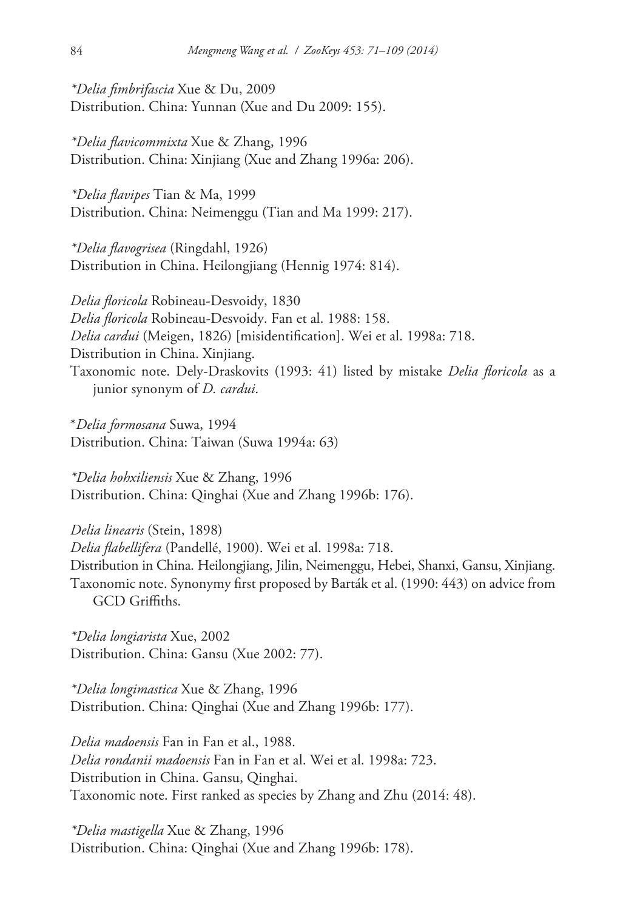*\*Delia fimbrifascia* Xue & Du, 2009 Distribution. China: Yunnan (Xue and Du 2009: 155).

*\*Delia flavicommixta* Xue & Zhang, 1996 Distribution. China: Xinjiang (Xue and Zhang 1996a: 206).

*\*Delia flavipes* Tian & Ma, 1999 Distribution. China: Neimenggu (Tian and Ma 1999: 217).

*\*Delia flavogrisea* (Ringdahl, 1926) Distribution in China. Heilongjiang (Hennig 1974: 814).

*Delia floricola* Robineau-Desvoidy, 1830 *Delia floricola* Robineau-Desvoidy. Fan et al. 1988: 158. *Delia cardui* (Meigen, 1826) [misidentification]. Wei et al. 1998a: 718. Distribution in China. Xinjiang. Taxonomic note. Dely-Draskovits (1993: 41) listed by mistake *Delia floricola* as a junior synonym of *D. cardui*.

\**Delia formosana* Suwa, 1994 Distribution. China: Taiwan (Suwa 1994a: 63)

*\*Delia hohxiliensis* Xue & Zhang, 1996 Distribution. China: Qinghai (Xue and Zhang 1996b: 176).

*Delia linearis* (Stein, 1898) *Delia flabellifera* (Pandellé, 1900). Wei et al. 1998a: 718. Distribution in China. Heilongjiang, Jilin, Neimenggu, Hebei, Shanxi, Gansu, Xinjiang. Taxonomic note. Synonymy first proposed by Barták et al. (1990: 443) on advice from GCD Griffiths.

*\*Delia longiarista* Xue, 2002 Distribution. China: Gansu (Xue 2002: 77).

*\*Delia longimastica* Xue & Zhang, 1996 Distribution. China: Qinghai (Xue and Zhang 1996b: 177).

*Delia madoensis* Fan in Fan et al., 1988. *Delia rondanii madoensis* Fan in Fan et al. Wei et al. 1998a: 723. Distribution in China. Gansu, Qinghai. Taxonomic note. First ranked as species by Zhang and Zhu (2014: 48).

*\*Delia mastigella* Xue & Zhang, 1996 Distribution. China: Qinghai (Xue and Zhang 1996b: 178).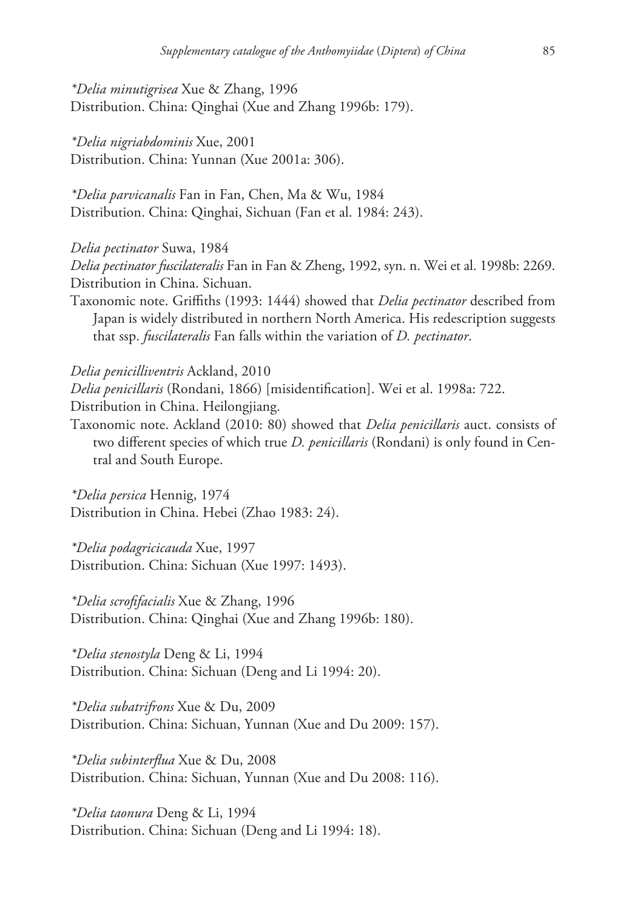*\*Delia minutigrisea* Xue & Zhang, 1996 Distribution. China: Qinghai (Xue and Zhang 1996b: 179).

*\*Delia nigriabdominis* Xue, 2001 Distribution. China: Yunnan (Xue 2001a: 306).

*\*Delia parvicanalis* Fan in Fan, Chen, Ma & Wu, 1984 Distribution. China: Qinghai, Sichuan (Fan et al. 1984: 243).

#### *Delia pectinator* Suwa, 1984

*Delia pectinator fuscilateralis* Fan in Fan & Zheng, 1992, syn. n. Wei et al. 1998b: 2269. Distribution in China. Sichuan.

Taxonomic note. Griffiths (1993: 1444) showed that *Delia pectinator* described from Japan is widely distributed in northern North America. His redescription suggests that ssp. *fuscilateralis* Fan falls within the variation of *D. pectinator*.

*Delia penicilliventris* Ackland, 2010

*Delia penicillaris* (Rondani, 1866) [misidentification]. Wei et al. 1998a: 722.

Distribution in China. Heilongjiang.

Taxonomic note. Ackland (2010: 80) showed that *Delia penicillaris* auct. consists of two different species of which true *D. penicillaris* (Rondani) is only found in Central and South Europe.

*\*Delia persica* Hennig, 1974 Distribution in China. Hebei (Zhao 1983: 24).

*\*Delia podagricicauda* Xue, 1997 Distribution. China: Sichuan (Xue 1997: 1493).

*\*Delia scrofifacialis* Xue & Zhang, 1996 Distribution. China: Qinghai (Xue and Zhang 1996b: 180).

*\*Delia stenostyla* Deng & Li, 1994 Distribution. China: Sichuan (Deng and Li 1994: 20).

*\*Delia subatrifrons* Xue & Du, 2009 Distribution. China: Sichuan, Yunnan (Xue and Du 2009: 157).

*\*Delia subinterflua* Xue & Du, 2008 Distribution. China: Sichuan, Yunnan (Xue and Du 2008: 116).

*\*Delia taonura* Deng & Li, 1994 Distribution. China: Sichuan (Deng and Li 1994: 18).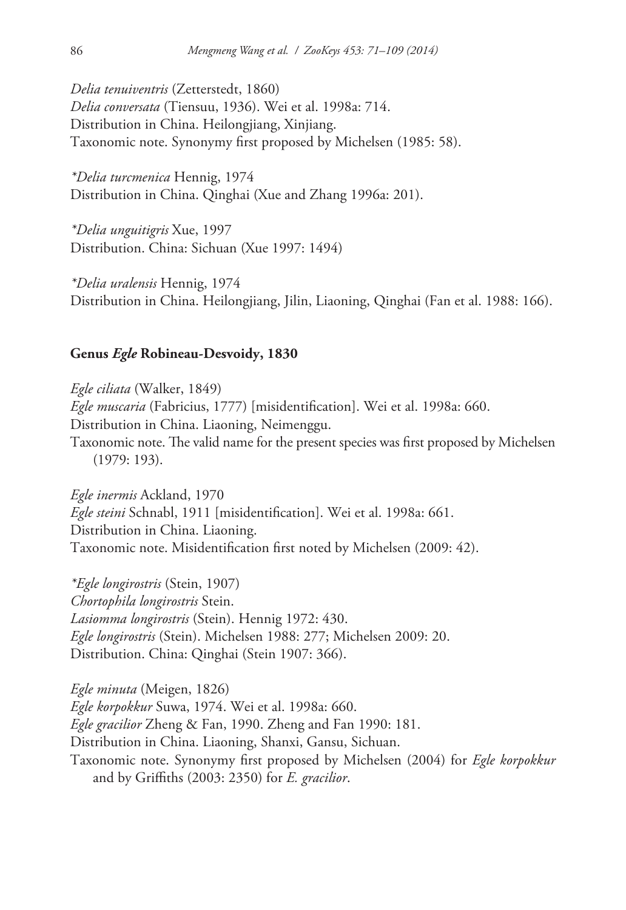*Delia tenuiventris* (Zetterstedt, 1860) *Delia conversata* (Tiensuu, 1936). Wei et al. 1998a: 714. Distribution in China. Heilongjiang, Xinjiang. Taxonomic note. Synonymy first proposed by Michelsen (1985: 58).

*\*Delia turcmenica* Hennig, 1974 Distribution in China. Qinghai (Xue and Zhang 1996a: 201).

*\*Delia unguitigris* Xue, 1997 Distribution. China: Sichuan (Xue 1997: 1494)

*\*Delia uralensis* Hennig, 1974 Distribution in China. Heilongjiang, Jilin, Liaoning, Qinghai (Fan et al. 1988: 166).

#### **Genus** *Egle* **Robineau-Desvoidy, 1830**

*Egle ciliata* (Walker, 1849) *Egle muscaria* (Fabricius, 1777) [misidentification]. Wei et al. 1998a: 660. Distribution in China. Liaoning, Neimenggu. Taxonomic note. The valid name for the present species was first proposed by Michelsen (1979: 193).

*Egle inermis* Ackland, 1970 *Egle steini* Schnabl, 1911 [misidentification]. Wei et al. 1998a: 661. Distribution in China. Liaoning. Taxonomic note. Misidentification first noted by Michelsen (2009: 42).

*\*Egle longirostris* (Stein, 1907) *Chortophila longirostris* Stein. *Lasiomma longirostris* (Stein). Hennig 1972: 430. *Egle longirostris* (Stein). Michelsen 1988: 277; Michelsen 2009: 20. Distribution. China: Qinghai (Stein 1907: 366).

*Egle minuta* (Meigen, 1826) *Egle korpokkur* Suwa, 1974. Wei et al. 1998a: 660. *Egle gracilior* Zheng & Fan, 1990. Zheng and Fan 1990: 181. Distribution in China. Liaoning, Shanxi, Gansu, Sichuan. Taxonomic note. Synonymy first proposed by Michelsen (2004) for *Egle korpokkur*  and by Griffiths (2003: 2350) for *E. gracilior*.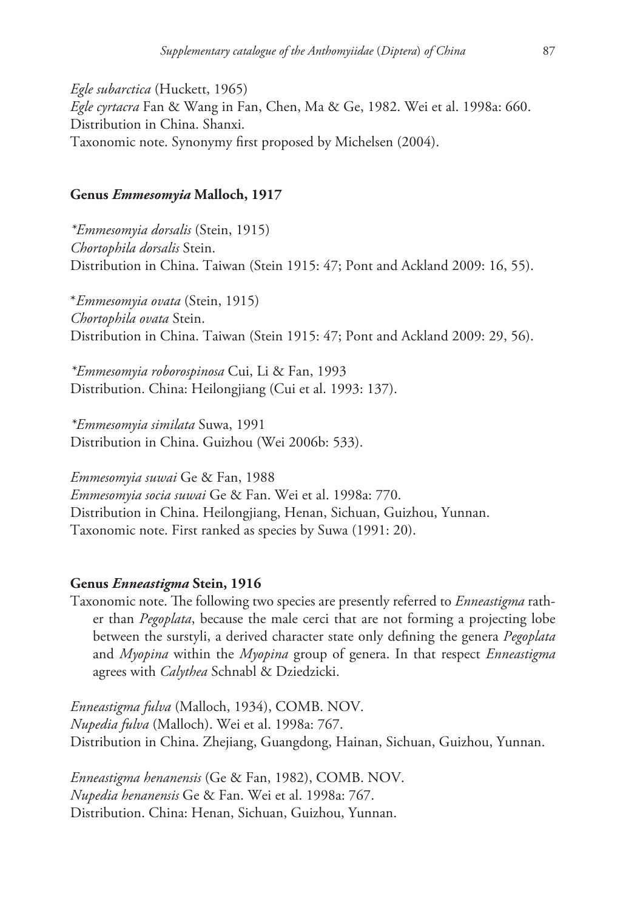*Egle subarctica* (Huckett, 1965) *Egle cyrtacra* Fan & Wang in Fan, Chen, Ma & Ge, 1982. Wei et al. 1998a: 660. Distribution in China. Shanxi. Taxonomic note. Synonymy first proposed by Michelsen (2004).

## **Genus** *Emmesomyia* **Malloch, 1917**

*\*Emmesomyia dorsalis* (Stein, 1915) *Chortophila dorsalis* Stein. Distribution in China. Taiwan (Stein 1915: 47; Pont and Ackland 2009: 16, 55).

\**Emmesomyia ovata* (Stein, 1915) *Chortophila ovata* Stein. Distribution in China. Taiwan (Stein 1915: 47; Pont and Ackland 2009: 29, 56).

*\*Emmesomyia roborospinosa* Cui, Li & Fan, 1993 Distribution. China: Heilongjiang (Cui et al. 1993: 137).

*\*Emmesomyia similata* Suwa, 1991 Distribution in China. Guizhou (Wei 2006b: 533).

*Emmesomyia suwai* Ge & Fan, 1988 *Emmesomyia socia suwai* Ge & Fan. Wei et al. 1998a: 770. Distribution in China. Heilongjiang, Henan, Sichuan, Guizhou, Yunnan. Taxonomic note. First ranked as species by Suwa (1991: 20).

#### **Genus** *Enneastigma* **Stein, 1916**

Taxonomic note. The following two species are presently referred to *Enneastigma* rather than *Pegoplata*, because the male cerci that are not forming a projecting lobe between the surstyli, a derived character state only defining the genera *Pegoplata*  and *Myopina* within the *Myopina* group of genera. In that respect *Enneastigma*  agrees with *Calythea* Schnabl & Dziedzicki.

*Enneastigma fulva* (Malloch, 1934), COMB. NOV. *Nupedia fulva* (Malloch). Wei et al. 1998a: 767. Distribution in China. Zhejiang, Guangdong, Hainan, Sichuan, Guizhou, Yunnan.

*Enneastigma henanensis* (Ge & Fan, 1982), COMB. NOV. *Nupedia henanensis* Ge & Fan. Wei et al. 1998a: 767. Distribution. China: Henan, Sichuan, Guizhou, Yunnan.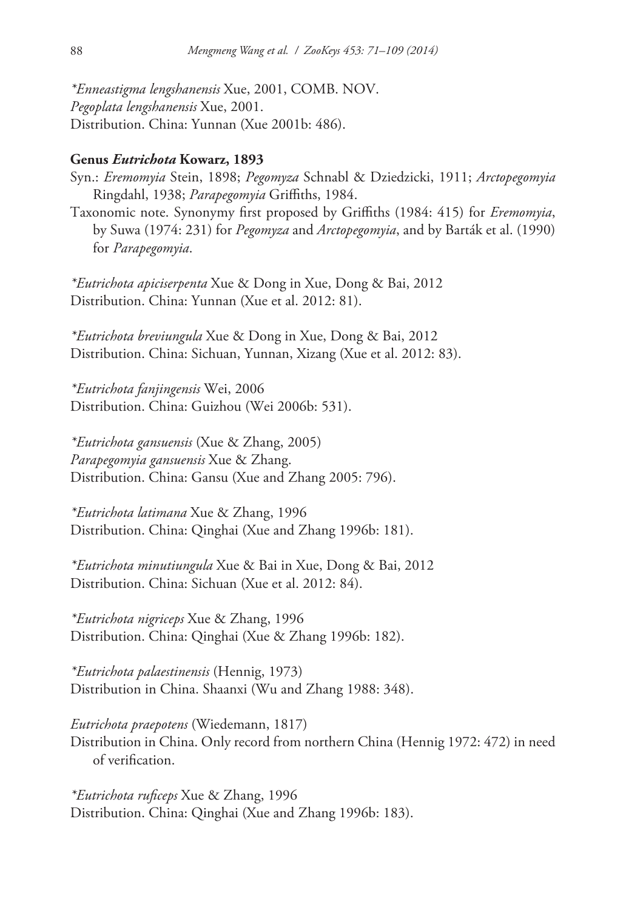*\*Enneastigma lengshanensis* Xue, 2001, COMB. NOV. *Pegoplata lengshanensis* Xue, 2001. Distribution. China: Yunnan (Xue 2001b: 486).

## **Genus** *Eutrichota* **Kowarz, 1893**

- Syn.: *Eremomyia* Stein, 1898; *Pegomyza* Schnabl & Dziedzicki, 1911; *Arctopegomyia*  Ringdahl, 1938; *Parapegomyia* Griffiths, 1984.
- Taxonomic note. Synonymy first proposed by Griffiths (1984: 415) for *Eremomyia*, by Suwa (1974: 231) for *Pegomyza* and *Arctopegomyia*, and by Barták et al. (1990) for *Parapegomyia*.

*\*Eutrichota apiciserpenta* Xue & Dong in Xue, Dong & Bai, 2012 Distribution. China: Yunnan (Xue et al. 2012: 81).

*\*Eutrichota breviungula* Xue & Dong in Xue, Dong & Bai, 2012 Distribution. China: Sichuan, Yunnan, Xizang (Xue et al. 2012: 83).

*\*Eutrichota fanjingensis* Wei, 2006 Distribution. China: Guizhou (Wei 2006b: 531).

*\*Eutrichota gansuensis* (Xue & Zhang, 2005) *Parapegomyia gansuensis* Xue & Zhang. Distribution. China: Gansu (Xue and Zhang 2005: 796).

*\*Eutrichota latimana* Xue & Zhang, 1996 Distribution. China: Qinghai (Xue and Zhang 1996b: 181).

*\*Eutrichota minutiungula* Xue & Bai in Xue, Dong & Bai, 2012 Distribution. China: Sichuan (Xue et al. 2012: 84).

*\*Eutrichota nigriceps* Xue & Zhang, 1996 Distribution. China: Qinghai (Xue & Zhang 1996b: 182).

*\*Eutrichota palaestinensis* (Hennig, 1973) Distribution in China. Shaanxi (Wu and Zhang 1988: 348).

*Eutrichota praepotens* (Wiedemann, 1817) Distribution in China. Only record from northern China (Hennig 1972: 472) in need of verification.

*\*Eutrichota ruficeps* Xue & Zhang, 1996 Distribution. China: Qinghai (Xue and Zhang 1996b: 183).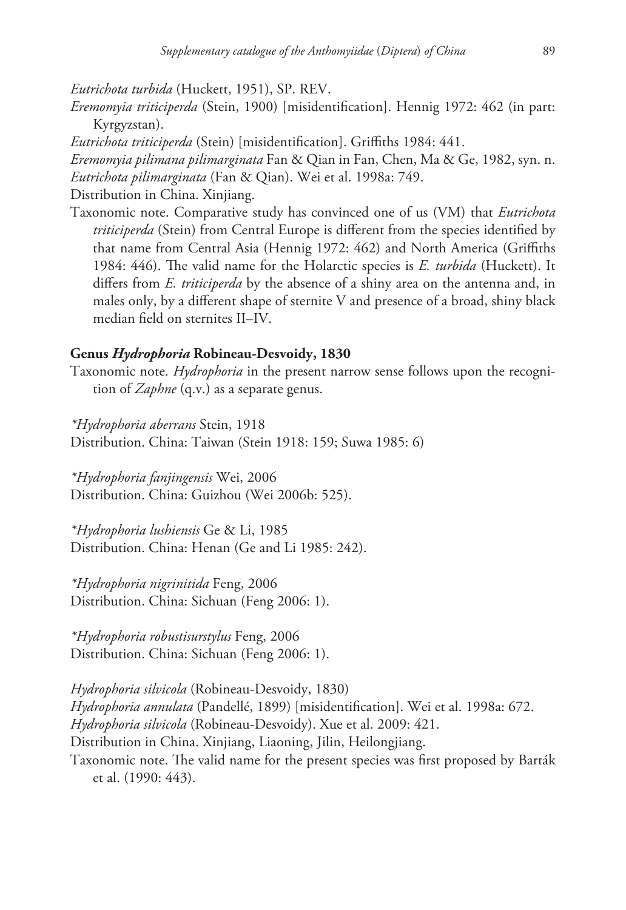*Eutrichota turbida* (Huckett, 1951), SP. REV.

*Eremomyia triticiperda* (Stein, 1900) [misidentification]. Hennig 1972: 462 (in part: Kyrgyzstan).

*Eutrichota triticiperda* (Stein) [misidentification]. Griffiths 1984: 441.

*Eremomyia pilimana pilimarginata* Fan & Qian in Fan, Chen, Ma & Ge, 1982, syn. n. *Eutrichota pilimarginata* (Fan & Qian). Wei et al. 1998a: 749.

Distribution in China. Xinjiang.

Taxonomic note. Comparative study has convinced one of us (VM) that *Eutrichota triticiperda* (Stein) from Central Europe is different from the species identified by that name from Central Asia (Hennig 1972: 462) and North America (Griffiths 1984: 446). The valid name for the Holarctic species is *E. turbida* (Huckett). It differs from *E. triticiperda* by the absence of a shiny area on the antenna and, in males only, by a different shape of sternite V and presence of a broad, shiny black median field on sternites II–IV.

### **Genus** *Hydrophoria* **Robineau-Desvoidy, 1830**

Taxonomic note. *Hydrophoria* in the present narrow sense follows upon the recognition of *Zaphne* (q.v.) as a separate genus.

*\*Hydrophoria aberrans* Stein, 1918 Distribution. China: Taiwan (Stein 1918: 159; Suwa 1985: 6)

*\*Hydrophoria fanjingensis* Wei, 2006 Distribution. China: Guizhou (Wei 2006b: 525).

*\*Hydrophoria lushiensis* Ge & Li, 1985 Distribution. China: Henan (Ge and Li 1985: 242).

*\*Hydrophoria nigrinitida* Feng, 2006 Distribution. China: Sichuan (Feng 2006: 1).

*\*Hydrophoria robustisurstylus* Feng, 2006 Distribution. China: Sichuan (Feng 2006: 1).

*Hydrophoria silvicola* (Robineau-Desvoidy, 1830) *Hydrophoria annulata* (Pandellé, 1899) [misidentification]. Wei et al. 1998a: 672. *Hydrophoria silvicola* (Robineau-Desvoidy). Xue et al. 2009: 421. Distribution in China. Xinjiang, Liaoning, Jilin, Heilongjiang. Taxonomic note. The valid name for the present species was first proposed by Barták et al. (1990: 443).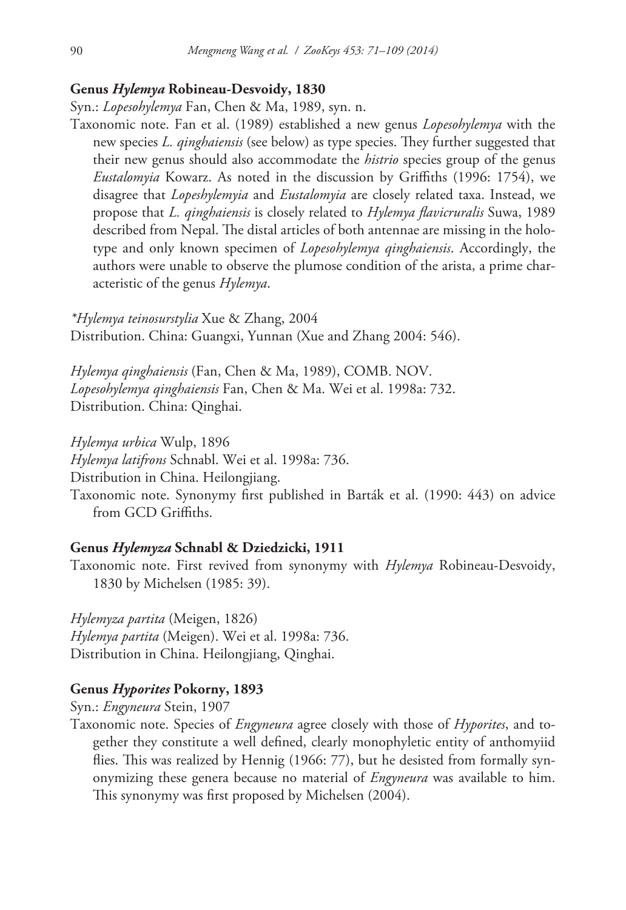## **Genus** *Hylemya* **Robineau-Desvoidy, 1830**

Syn.: *Lopesohylemya* Fan, Chen & Ma, 1989, syn. n.

Taxonomic note. Fan et al. (1989) established a new genus *Lopesohylemya* with the new species *L. qinghaiensis* (see below) as type species. They further suggested that their new genus should also accommodate the *histrio* species group of the genus *Eustalomyia* Kowarz. As noted in the discussion by Griffiths (1996: 1754), we disagree that *Lopeshylemyia* and *Eustalomyia* are closely related taxa. Instead, we propose that *L. qinghaiensis* is closely related to *Hylemya flavicruralis* Suwa, 1989 described from Nepal. The distal articles of both antennae are missing in the holotype and only known specimen of *Lopesohylemya qinghaiensis*. Accordingly, the authors were unable to observe the plumose condition of the arista, a prime characteristic of the genus *Hylemya*.

*\*Hylemya teinosurstylia* Xue & Zhang, 2004 Distribution. China: Guangxi, Yunnan (Xue and Zhang 2004: 546).

*Hylemya qinghaiensis* (Fan, Chen & Ma, 1989), COMB. NOV. *Lopesohylemya qinghaiensis* Fan, Chen & Ma. Wei et al. 1998a: 732. Distribution. China: Qinghai.

*Hylemya urbica* Wulp, 1896

*Hylemya latifrons* Schnabl. Wei et al. 1998a: 736.

Distribution in China. Heilongjiang.

Taxonomic note. Synonymy first published in Barták et al. (1990: 443) on advice from GCD Griffiths.

#### **Genus** *Hylemyza* **Schnabl & Dziedzicki, 1911**

Taxonomic note. First revived from synonymy with *Hylemya* Robineau-Desvoidy, 1830 by Michelsen (1985: 39).

*Hylemyza partita* (Meigen, 1826) *Hylemya partita* (Meigen). Wei et al. 1998a: 736. Distribution in China. Heilongjiang, Qinghai.

## **Genus** *Hyporites* **Pokorny, 1893**

Syn.: *Engyneura* Stein, 1907

Taxonomic note. Species of *Engyneura* agree closely with those of *Hyporites*, and together they constitute a well defined, clearly monophyletic entity of anthomyiid flies. This was realized by Hennig (1966: 77), but he desisted from formally synonymizing these genera because no material of *Engyneura* was available to him. This synonymy was first proposed by Michelsen (2004).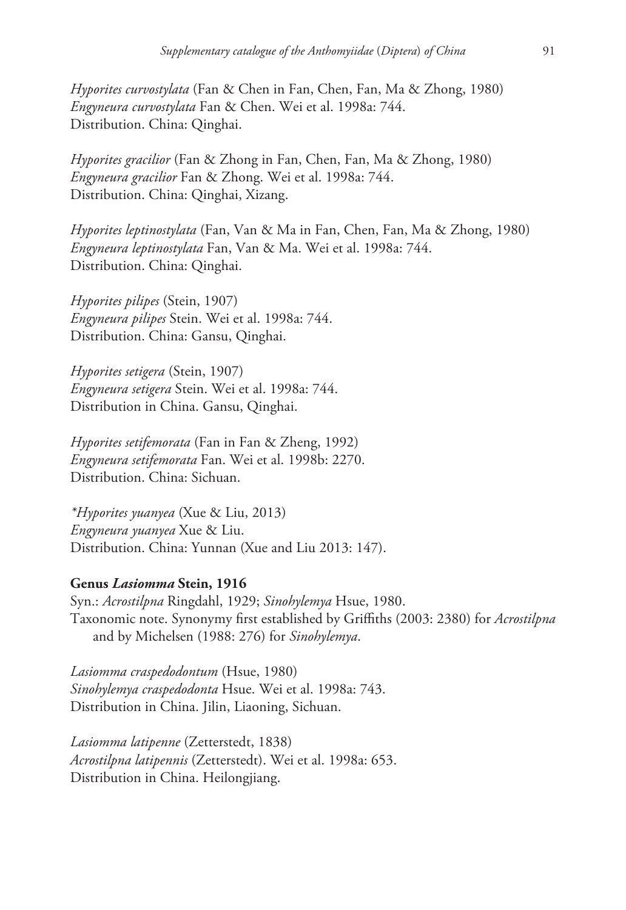*Hyporites curvostylata* (Fan & Chen in Fan, Chen, Fan, Ma & Zhong, 1980) *Engyneura curvostylata* Fan & Chen. Wei et al. 1998a: 744. Distribution. China: Qinghai.

*Hyporites gracilior* (Fan & Zhong in Fan, Chen, Fan, Ma & Zhong, 1980) *Engyneura gracilior* Fan & Zhong. Wei et al. 1998a: 744. Distribution. China: Qinghai, Xizang.

*Hyporites leptinostylata* (Fan, Van & Ma in Fan, Chen, Fan, Ma & Zhong, 1980) *Engyneura leptinostylata* Fan, Van & Ma. Wei et al. 1998a: 744. Distribution. China: Qinghai.

*Hyporites pilipes* (Stein, 1907) *Engyneura pilipes* Stein. Wei et al. 1998a: 744. Distribution. China: Gansu, Qinghai.

*Hyporites setigera* (Stein, 1907) *Engyneura setigera* Stein. Wei et al. 1998a: 744. Distribution in China. Gansu, Qinghai.

*Hyporites setifemorata* (Fan in Fan & Zheng, 1992) *Engyneura setifemorata* Fan. Wei et al. 1998b: 2270. Distribution. China: Sichuan.

*\*Hyporites yuanyea* (Xue & Liu, 2013) *Engyneura yuanyea* Xue & Liu. Distribution. China: Yunnan (Xue and Liu 2013: 147).

#### **Genus** *Lasiomma* **Stein, 1916**

Syn.: *Acrostilpna* Ringdahl, 1929; *Sinohylemya* Hsue, 1980. Taxonomic note. Synonymy first established by Griffiths (2003: 2380) for *Acrostilpna*  and by Michelsen (1988: 276) for *Sinohylemya*.

*Lasiomma craspedodontum* (Hsue, 1980) *Sinohylemya craspedodonta* Hsue. Wei et al. 1998a: 743. Distribution in China. Jilin, Liaoning, Sichuan.

*Lasiomma latipenne* (Zetterstedt, 1838) *Acrostilpna latipennis* (Zetterstedt). Wei et al. 1998a: 653. Distribution in China. Heilongjiang.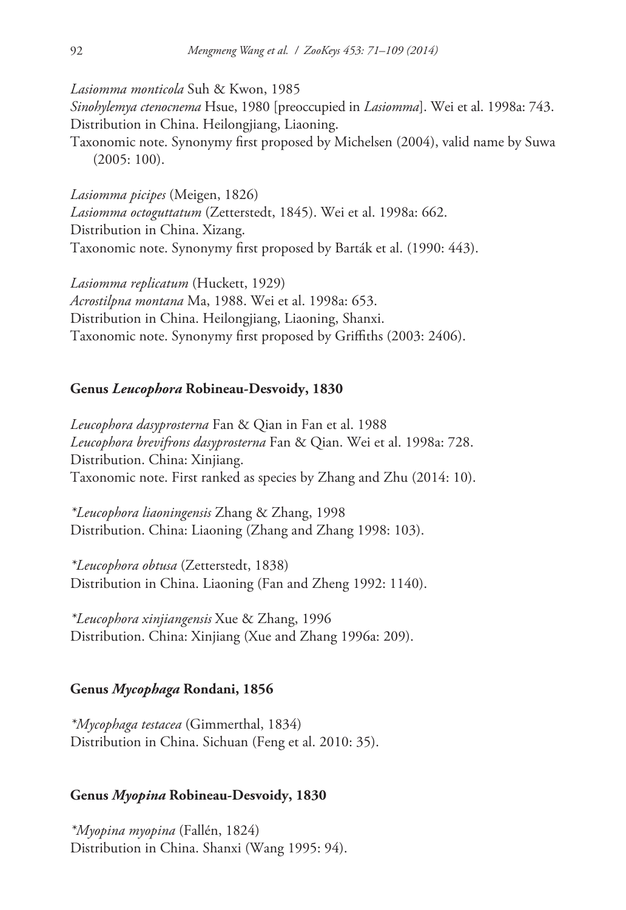*Lasiomma monticola* Suh & Kwon, 1985

*Sinohylemya ctenocnema* Hsue, 1980 [preoccupied in *Lasiomma*]. Wei et al. 1998a: 743. Distribution in China. Heilongjiang, Liaoning.

Taxonomic note. Synonymy first proposed by Michelsen (2004), valid name by Suwa (2005: 100).

*Lasiomma picipes* (Meigen, 1826) *Lasiomma octoguttatum* (Zetterstedt, 1845). Wei et al. 1998a: 662. Distribution in China. Xizang. Taxonomic note. Synonymy first proposed by Barták et al. (1990: 443).

*Lasiomma replicatum* (Huckett, 1929) *Acrostilpna montana* Ma, 1988. Wei et al. 1998a: 653. Distribution in China. Heilongjiang, Liaoning, Shanxi. Taxonomic note. Synonymy first proposed by Griffiths (2003: 2406).

#### **Genus** *Leucophora* **Robineau-Desvoidy, 1830**

*Leucophora dasyprosterna* Fan & Qian in Fan et al. 1988 *Leucophora brevifrons dasyprosterna* Fan & Qian. Wei et al. 1998a: 728. Distribution. China: Xinjiang. Taxonomic note. First ranked as species by Zhang and Zhu (2014: 10).

*\*Leucophora liaoningensis* Zhang & Zhang, 1998 Distribution. China: Liaoning (Zhang and Zhang 1998: 103).

*\*Leucophora obtusa* (Zetterstedt, 1838) Distribution in China. Liaoning (Fan and Zheng 1992: 1140).

*\*Leucophora xinjiangensis* Xue & Zhang, 1996 Distribution. China: Xinjiang (Xue and Zhang 1996a: 209).

#### **Genus** *Mycophaga* **Rondani, 1856**

*\*Mycophaga testacea* (Gimmerthal, 1834) Distribution in China. Sichuan (Feng et al. 2010: 35).

#### **Genus** *Myopina* **Robineau-Desvoidy, 1830**

*\*Myopina myopina* (Fallén, 1824) Distribution in China. Shanxi (Wang 1995: 94).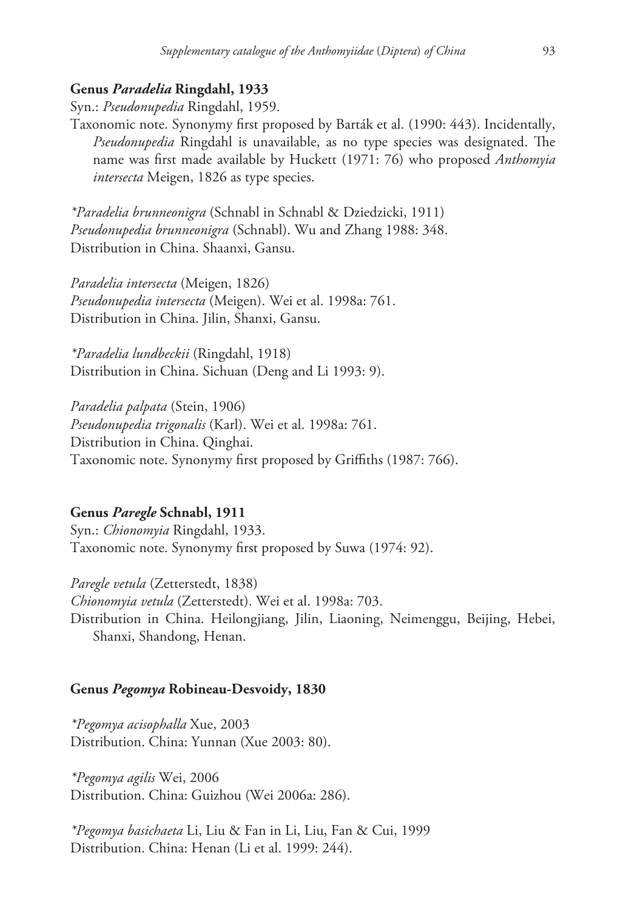## **Genus** *Paradelia* **Ringdahl, 1933**

Syn.: *Pseudonupedia* Ringdahl, 1959.

Taxonomic note. Synonymy first proposed by Barták et al. (1990: 443). Incidentally, *Pseudonupedia* Ringdahl is unavailable, as no type species was designated. The name was first made available by Huckett (1971: 76) who proposed *Anthomyia intersecta* Meigen, 1826 as type species.

*\*Paradelia brunneonigra* (Schnabl in Schnabl & Dziedzicki, 1911) *Pseudonupedia brunneonigra* (Schnabl). Wu and Zhang 1988: 348. Distribution in China. Shaanxi, Gansu.

*Paradelia intersecta* (Meigen, 1826) *Pseudonupedia intersecta* (Meigen). Wei et al. 1998a: 761. Distribution in China. Jilin, Shanxi, Gansu.

*\*Paradelia lundbeckii* (Ringdahl, 1918) Distribution in China. Sichuan (Deng and Li 1993: 9).

*Paradelia palpata* (Stein, 1906) *Pseudonupedia trigonalis* (Karl). Wei et al. 1998a: 761. Distribution in China. Qinghai. Taxonomic note. Synonymy first proposed by Griffiths (1987: 766).

### **Genus** *Paregle* **Schnabl, 1911**

Syn.: *Chionomyia* Ringdahl, 1933. Taxonomic note. Synonymy first proposed by Suwa (1974: 92).

*Paregle vetula* (Zetterstedt, 1838) *Chionomyia vetula* (Zetterstedt). Wei et al. 1998a: 703. Distribution in China. Heilongjiang, Jilin, Liaoning, Neimenggu, Beijing, Hebei, Shanxi, Shandong, Henan.

#### **Genus** *Pegomya* **Robineau-Desvoidy, 1830**

*\*Pegomya acisophalla* Xue, 2003 Distribution. China: Yunnan (Xue 2003: 80).

*\*Pegomya agilis* Wei, 2006 Distribution. China: Guizhou (Wei 2006a: 286).

*\*Pegomya basichaeta* Li, Liu & Fan in Li, Liu, Fan & Cui, 1999 Distribution. China: Henan (Li et al. 1999: 244).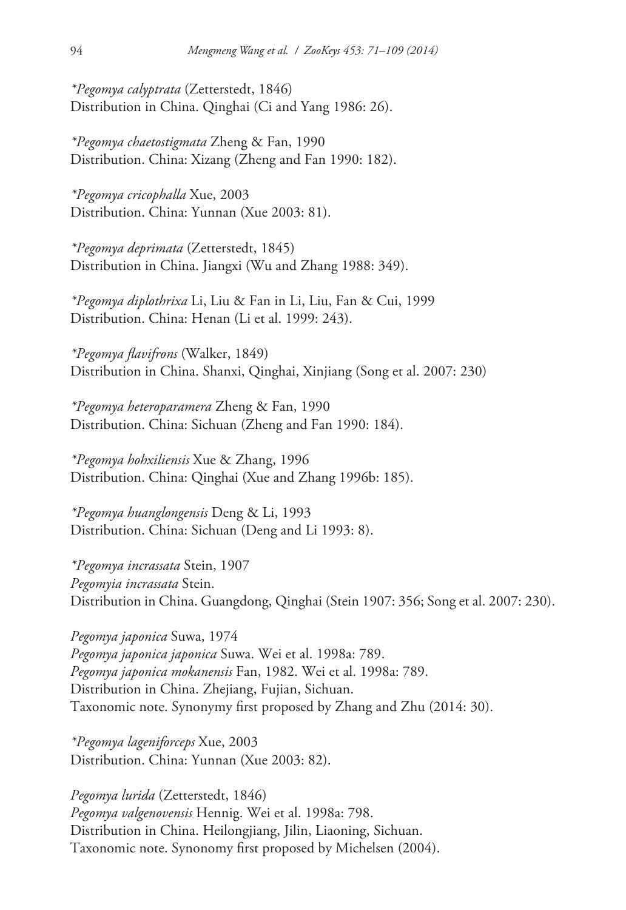*\*Pegomya calyptrata* (Zetterstedt, 1846) Distribution in China. Qinghai (Ci and Yang 1986: 26).

*\*Pegomya chaetostigmata* Zheng & Fan, 1990 Distribution. China: Xizang (Zheng and Fan 1990: 182).

*\*Pegomya cricophalla* Xue, 2003 Distribution. China: Yunnan (Xue 2003: 81).

*\*Pegomya deprimata* (Zetterstedt, 1845) Distribution in China. Jiangxi (Wu and Zhang 1988: 349).

*\*Pegomya diplothrixa* Li, Liu & Fan in Li, Liu, Fan & Cui, 1999 Distribution. China: Henan (Li et al. 1999: 243).

*\*Pegomya flavifrons* (Walker, 1849) Distribution in China. Shanxi, Qinghai, Xinjiang (Song et al. 2007: 230)

*\*Pegomya heteroparamera* Zheng & Fan, 1990 Distribution. China: Sichuan (Zheng and Fan 1990: 184).

*\*Pegomya hohxiliensis* Xue & Zhang, 1996 Distribution. China: Qinghai (Xue and Zhang 1996b: 185).

*\*Pegomya huanglongensis* Deng & Li, 1993 Distribution. China: Sichuan (Deng and Li 1993: 8).

*\*Pegomya incrassata* Stein, 1907 *Pegomyia incrassata* Stein. Distribution in China. Guangdong, Qinghai (Stein 1907: 356; Song et al. 2007: 230).

*Pegomya japonica* Suwa, 1974 *Pegomya japonica japonica* Suwa. Wei et al. 1998a: 789. *Pegomya japonica mokanensis* Fan, 1982. Wei et al. 1998a: 789. Distribution in China. Zhejiang, Fujian, Sichuan. Taxonomic note. Synonymy first proposed by Zhang and Zhu (2014: 30).

*\*Pegomya lageniforceps* Xue, 2003 Distribution. China: Yunnan (Xue 2003: 82).

*Pegomya lurida* (Zetterstedt, 1846) *Pegomya valgenovensis* Hennig. Wei et al. 1998a: 798. Distribution in China. Heilongjiang, Jilin, Liaoning, Sichuan. Taxonomic note. Synonomy first proposed by Michelsen (2004).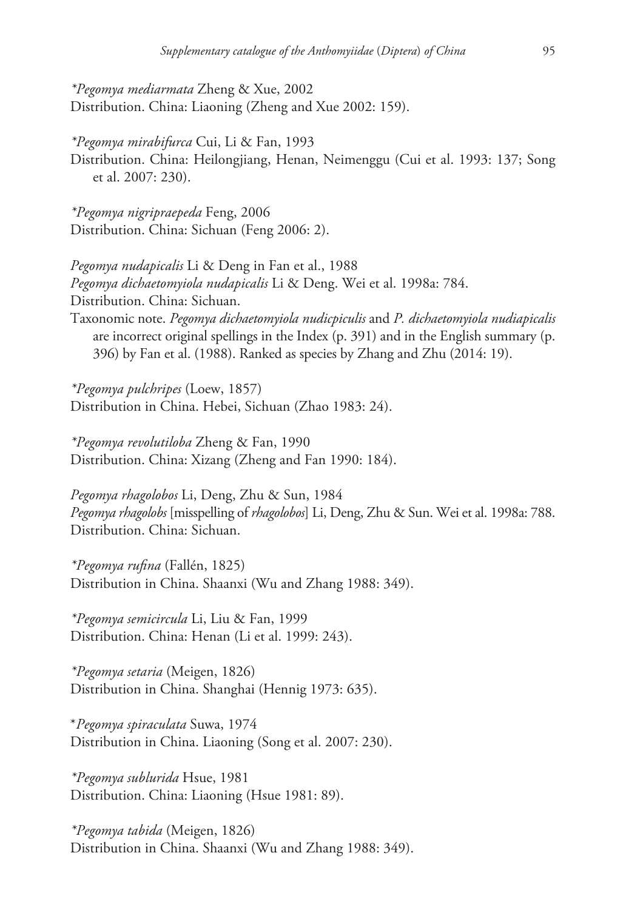*\*Pegomya mediarmata* Zheng & Xue, 2002 Distribution. China: Liaoning (Zheng and Xue 2002: 159).

*\*Pegomya mirabifurca* Cui, Li & Fan, 1993 Distribution. China: Heilongjiang, Henan, Neimenggu (Cui et al. 1993: 137; Song et al. 2007: 230).

*\*Pegomya nigripraepeda* Feng, 2006 Distribution. China: Sichuan (Feng 2006: 2).

*Pegomya nudapicalis* Li & Deng in Fan et al., 1988 *Pegomya dichaetomyiola nudapicalis* Li & Deng. Wei et al. 1998a: 784. Distribution. China: Sichuan. Taxonomic note. *Pegomya dichaetomyiola nudicpiculis* and *P. dichaetomyiola nudiapicalis* are incorrect original spellings in the Index (p. 391) and in the English summary (p. 396) by Fan et al. (1988). Ranked as species by Zhang and Zhu (2014: 19).

*\*Pegomya pulchripes* (Loew, 1857) Distribution in China. Hebei, Sichuan (Zhao 1983: 24).

*\*Pegomya revolutiloba* Zheng & Fan, 1990 Distribution. China: Xizang (Zheng and Fan 1990: 184).

*Pegomya rhagolobos* Li, Deng, Zhu & Sun, 1984 *Pegomya rhagolobs* [misspelling of *rhagolobos*] Li, Deng, Zhu & Sun. Wei et al. 1998a: 788. Distribution. China: Sichuan.

*\*Pegomya rufina* (Fallén, 1825) Distribution in China. Shaanxi (Wu and Zhang 1988: 349).

*\*Pegomya semicircula* Li, Liu & Fan, 1999 Distribution. China: Henan (Li et al. 1999: 243).

*\*Pegomya setaria* (Meigen, 1826) Distribution in China. Shanghai (Hennig 1973: 635).

\**Pegomya spiraculata* Suwa, 1974 Distribution in China. Liaoning (Song et al. 2007: 230).

*\*Pegomya sublurida* Hsue, 1981 Distribution. China: Liaoning (Hsue 1981: 89).

*\*Pegomya tabida* (Meigen, 1826) Distribution in China. Shaanxi (Wu and Zhang 1988: 349).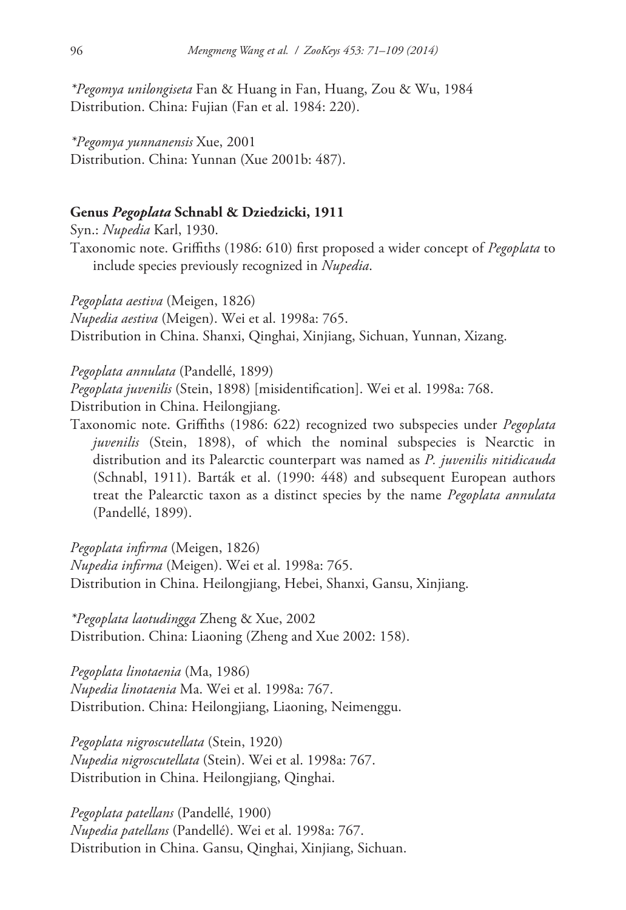*\*Pegomya unilongiseta* Fan & Huang in Fan, Huang, Zou & Wu, 1984 Distribution. China: Fujian (Fan et al. 1984: 220).

*\*Pegomya yunnanensis* Xue, 2001 Distribution. China: Yunnan (Xue 2001b: 487).

#### **Genus** *Pegoplata* **Schnabl & Dziedzicki, 1911**

Syn.: *Nupedia* Karl, 1930.

Taxonomic note. Griffiths (1986: 610) first proposed a wider concept of *Pegoplata* to include species previously recognized in *Nupedia*.

*Pegoplata aestiva* (Meigen, 1826) *Nupedia aestiva* (Meigen). Wei et al. 1998a: 765. Distribution in China. Shanxi, Qinghai, Xinjiang, Sichuan, Yunnan, Xizang.

*Pegoplata annulata* (Pandellé, 1899)

*Pegoplata juvenilis* (Stein, 1898) [misidentification]. Wei et al. 1998a: 768. Distribution in China. Heilongjiang.

Taxonomic note. Griffiths (1986: 622) recognized two subspecies under *Pegoplata juvenilis* (Stein, 1898), of which the nominal subspecies is Nearctic in distribution and its Palearctic counterpart was named as *P. juvenilis nitidicauda*  (Schnabl, 1911). Barták et al. (1990: 448) and subsequent European authors treat the Palearctic taxon as a distinct species by the name *Pegoplata annulata*  (Pandellé, 1899).

*Pegoplata infirma* (Meigen, 1826)

*Nupedia infirma* (Meigen). Wei et al. 1998a: 765. Distribution in China. Heilongjiang, Hebei, Shanxi, Gansu, Xinjiang.

*\*Pegoplata laotudingga* Zheng & Xue, 2002 Distribution. China: Liaoning (Zheng and Xue 2002: 158).

*Pegoplata linotaenia* (Ma, 1986) *Nupedia linotaenia* Ma. Wei et al. 1998a: 767. Distribution. China: Heilongjiang, Liaoning, Neimenggu.

*Pegoplata nigroscutellata* (Stein, 1920) *Nupedia nigroscutellata* (Stein). Wei et al. 1998a: 767. Distribution in China. Heilongjiang, Qinghai.

*Pegoplata patellans* (Pandellé, 1900) *Nupedia patellans* (Pandellé). Wei et al. 1998a: 767. Distribution in China. Gansu, Qinghai, Xinjiang, Sichuan.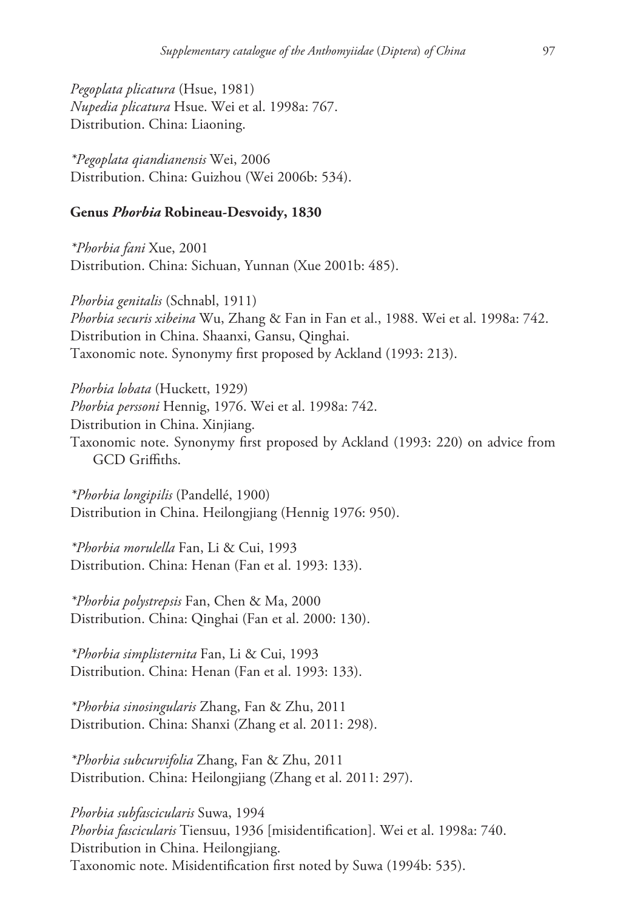*Pegoplata plicatura* (Hsue, 1981) *Nupedia plicatura* Hsue. Wei et al. 1998a: 767. Distribution. China: Liaoning.

*\*Pegoplata qiandianensis* Wei, 2006 Distribution. China: Guizhou (Wei 2006b: 534).

## **Genus** *Phorbia* **Robineau-Desvoidy, 1830**

*\*Phorbia fani* Xue, 2001 Distribution. China: Sichuan, Yunnan (Xue 2001b: 485).

*Phorbia genitalis* (Schnabl, 1911) *Phorbia securis xibeina* Wu, Zhang & Fan in Fan et al., 1988. Wei et al. 1998a: 742. Distribution in China. Shaanxi, Gansu, Qinghai. Taxonomic note. Synonymy first proposed by Ackland (1993: 213).

*Phorbia lobata* (Huckett, 1929) *Phorbia perssoni* Hennig, 1976. Wei et al. 1998a: 742. Distribution in China. Xinjiang. Taxonomic note. Synonymy first proposed by Ackland (1993: 220) on advice from GCD Griffiths.

*\*Phorbia longipilis* (Pandellé, 1900) Distribution in China. Heilongjiang (Hennig 1976: 950).

*\*Phorbia morulella* Fan, Li & Cui, 1993 Distribution. China: Henan (Fan et al. 1993: 133).

*\*Phorbia polystrepsis* Fan, Chen & Ma, 2000 Distribution. China: Qinghai (Fan et al. 2000: 130).

*\*Phorbia simplisternita* Fan, Li & Cui, 1993 Distribution. China: Henan (Fan et al. 1993: 133).

*\*Phorbia sinosingularis* Zhang, Fan & Zhu, 2011 Distribution. China: Shanxi (Zhang et al. 2011: 298).

*\*Phorbia subcurvifolia* Zhang, Fan & Zhu, 2011 Distribution. China: Heilongjiang (Zhang et al. 2011: 297).

*Phorbia subfascicularis* Suwa, 1994 *Phorbia fascicularis* Tiensuu, 1936 [misidentification]. Wei et al. 1998a: 740. Distribution in China. Heilongjiang. Taxonomic note. Misidentification first noted by Suwa (1994b: 535).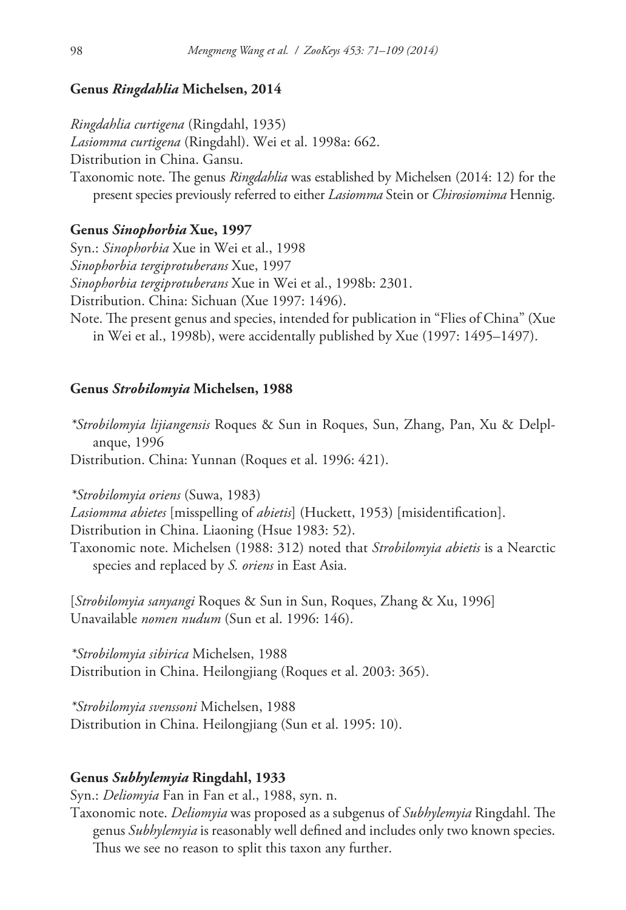#### **Genus** *Ringdahlia* **Michelsen, 2014**

*Ringdahlia curtigena* (Ringdahl, 1935) *Lasiomma curtigena* (Ringdahl). Wei et al. 1998a: 662. Distribution in China. Gansu. Taxonomic note. The genus *Ringdahlia* was established by Michelsen (2014: 12) for the present species previously referred to either *Lasiomma* Stein or *Chirosiomima* Hennig.

# **Genus** *Sinophorbia* **Xue, 1997**

Syn.: *Sinophorbia* Xue in Wei et al., 1998 *Sinophorbia tergiprotuberans* Xue, 1997 *Sinophorbia tergiprotuberans* Xue in Wei et al., 1998b: 2301. Distribution. China: Sichuan (Xue 1997: 1496). Note. The present genus and species, intended for publication in "Flies of China" (Xue in Wei et al., 1998b), were accidentally published by Xue (1997: 1495–1497).

#### **Genus** *Strobilomyia* **Michelsen, 1988**

*\*Strobilomyia lijiangensis* Roques & Sun in Roques, Sun, Zhang, Pan, Xu & Delplanque, 1996 Distribution. China: Yunnan (Roques et al. 1996: 421).

*\*Strobilomyia oriens* (Suwa, 1983) *Lasiomma abietes* [misspelling of *abietis*] (Huckett, 1953) [misidentification]. Distribution in China. Liaoning (Hsue 1983: 52). Taxonomic note. Michelsen (1988: 312) noted that *Strobilomyia abietis* is a Nearctic species and replaced by *S. oriens* in East Asia.

[*Strobilomyia sanyangi* Roques & Sun in Sun, Roques, Zhang & Xu, 1996] Unavailable *nomen nudum* (Sun et al. 1996: 146).

*\*Strobilomyia sibirica* Michelsen, 1988 Distribution in China. Heilongjiang (Roques et al. 2003: 365).

*\*Strobilomyia svenssoni* Michelsen, 1988 Distribution in China. Heilongjiang (Sun et al. 1995: 10).

## **Genus** *Subhylemyia* **Ringdahl, 1933**

Syn.: *Deliomyia* Fan in Fan et al., 1988, syn. n.

Taxonomic note. *Deliomyia* was proposed as a subgenus of *Subhylemyia* Ringdahl. The genus *Subhylemyia* is reasonably well defined and includes only two known species. Thus we see no reason to split this taxon any further.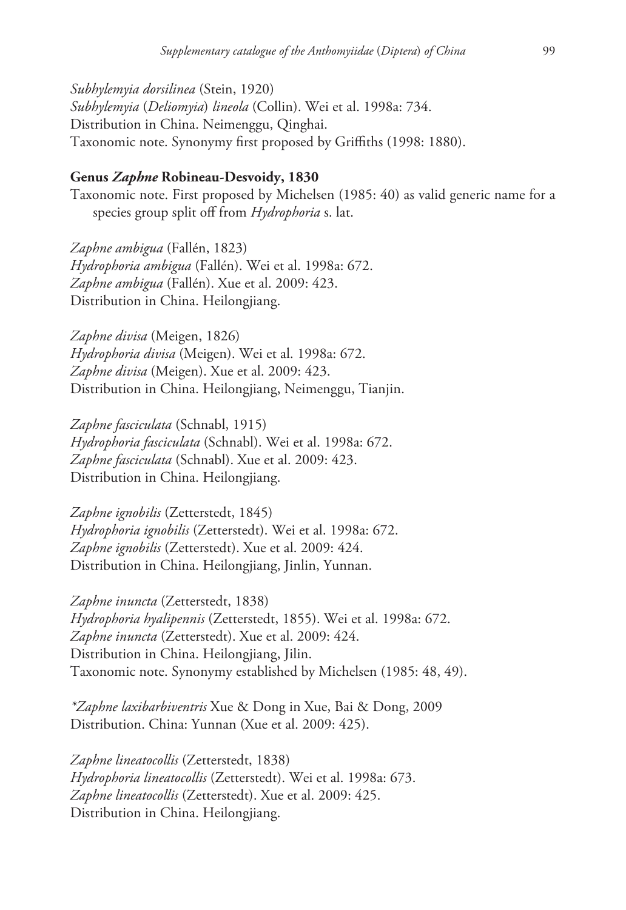*Subhylemyia dorsilinea* (Stein, 1920) *Subhylemyia* (*Deliomyia*) *lineola* (Collin). Wei et al. 1998a: 734. Distribution in China. Neimenggu, Qinghai. Taxonomic note. Synonymy first proposed by Griffiths (1998: 1880).

### **Genus** *Zaphne* **Robineau-Desvoidy, 1830**

Taxonomic note. First proposed by Michelsen (1985: 40) as valid generic name for a species group split off from *Hydrophoria* s. lat.

*Zaphne ambigua* (Fallén, 1823) *Hydrophoria ambigua* (Fallén). Wei et al. 1998a: 672. *Zaphne ambigua* (Fallén). Xue et al. 2009: 423. Distribution in China. Heilongjiang.

*Zaphne divisa* (Meigen, 1826) *Hydrophoria divisa* (Meigen). Wei et al. 1998a: 672. *Zaphne divisa* (Meigen). Xue et al. 2009: 423. Distribution in China. Heilongjiang, Neimenggu, Tianjin.

*Zaphne fasciculata* (Schnabl, 1915) *Hydrophoria fasciculata* (Schnabl). Wei et al. 1998a: 672. *Zaphne fasciculata* (Schnabl). Xue et al. 2009: 423. Distribution in China. Heilongjiang.

*Zaphne ignobilis* (Zetterstedt, 1845) *Hydrophoria ignobilis* (Zetterstedt). Wei et al. 1998a: 672. *Zaphne ignobilis* (Zetterstedt). Xue et al. 2009: 424. Distribution in China. Heilongjiang, Jinlin, Yunnan.

*Zaphne inuncta* (Zetterstedt, 1838) *Hydrophoria hyalipennis* (Zetterstedt, 1855). Wei et al. 1998a: 672. *Zaphne inuncta* (Zetterstedt). Xue et al. 2009: 424. Distribution in China. Heilongjiang, Jilin. Taxonomic note. Synonymy established by Michelsen (1985: 48, 49).

*\*Zaphne laxibarbiventris* Xue & Dong in Xue, Bai & Dong, 2009 Distribution. China: Yunnan (Xue et al. 2009: 425).

*Zaphne lineatocollis* (Zetterstedt, 1838) *Hydrophoria lineatocollis* (Zetterstedt). Wei et al. 1998a: 673. *Zaphne lineatocollis* (Zetterstedt). Xue et al. 2009: 425. Distribution in China. Heilongjiang.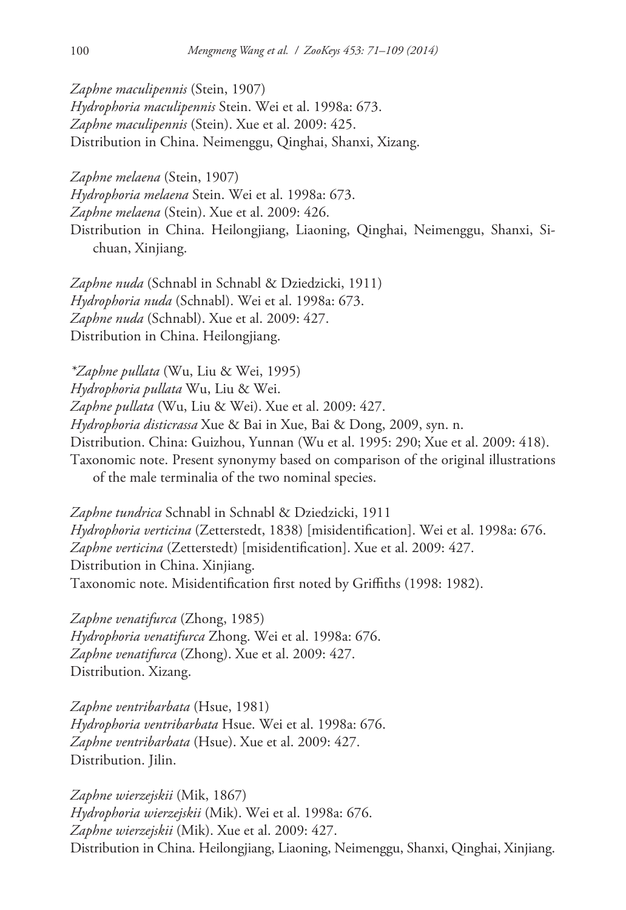*Zaphne maculipennis* (Stein, 1907)

*Hydrophoria maculipennis* Stein. Wei et al. 1998a: 673. *Zaphne maculipennis* (Stein). Xue et al. 2009: 425. Distribution in China. Neimenggu, Qinghai, Shanxi, Xizang.

*Zaphne melaena* (Stein, 1907)

*Hydrophoria melaena* Stein. Wei et al. 1998a: 673.

*Zaphne melaena* (Stein). Xue et al. 2009: 426.

Distribution in China. Heilongjiang, Liaoning, Qinghai, Neimenggu, Shanxi, Sichuan, Xinjiang.

*Zaphne nuda* (Schnabl in Schnabl & Dziedzicki, 1911) *Hydrophoria nuda* (Schnabl). Wei et al. 1998a: 673. *Zaphne nuda* (Schnabl). Xue et al. 2009: 427. Distribution in China. Heilongjiang.

*\*Zaphne pullata* (Wu, Liu & Wei, 1995) *Hydrophoria pullata* Wu, Liu & Wei. *Zaphne pullata* (Wu, Liu & Wei). Xue et al. 2009: 427. *Hydrophoria disticrassa* Xue & Bai in Xue, Bai & Dong, 2009, syn. n. Distribution. China: Guizhou, Yunnan (Wu et al. 1995: 290; Xue et al. 2009: 418). Taxonomic note. Present synonymy based on comparison of the original illustrations of the male terminalia of the two nominal species.

*Zaphne tundrica* Schnabl in Schnabl & Dziedzicki, 1911 *Hydrophoria verticina* (Zetterstedt, 1838) [misidentification]. Wei et al. 1998a: 676. *Zaphne verticina* (Zetterstedt) [misidentification]. Xue et al. 2009: 427. Distribution in China. Xinjiang. Taxonomic note. Misidentification first noted by Griffiths (1998: 1982).

*Zaphne venatifurca* (Zhong, 1985) *Hydrophoria venatifurca* Zhong. Wei et al. 1998a: 676. *Zaphne venatifurca* (Zhong). Xue et al. 2009: 427. Distribution. Xizang.

*Zaphne ventribarbata* (Hsue, 1981) *Hydrophoria ventribarbata* Hsue. Wei et al. 1998a: 676. *Zaphne ventribarbata* (Hsue). Xue et al. 2009: 427. Distribution. Jilin.

*Zaphne wierzejskii* (Mik, 1867) *Hydrophoria wierzejskii* (Mik). Wei et al. 1998a: 676. *Zaphne wierzejskii* (Mik). Xue et al. 2009: 427. Distribution in China. Heilongjiang, Liaoning, Neimenggu, Shanxi, Qinghai, Xinjiang.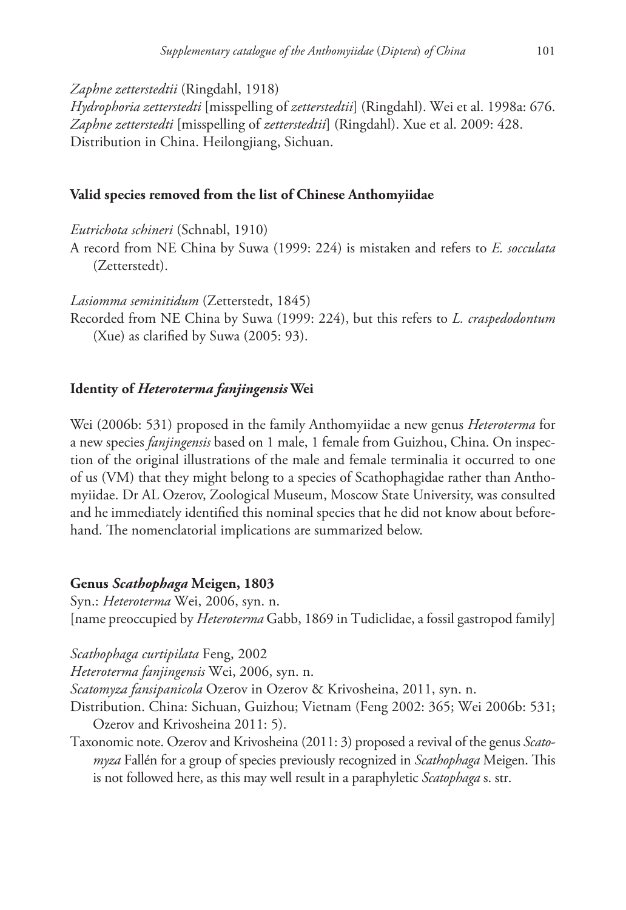*Zaphne zetterstedtii* (Ringdahl, 1918)

*Hydrophoria zetterstedti* [misspelling of *zetterstedtii*] (Ringdahl). Wei et al. 1998a: 676. *Zaphne zetterstedti* [misspelling of *zetterstedtii*] (Ringdahl). Xue et al. 2009: 428. Distribution in China. Heilongjiang, Sichuan.

# **Valid species removed from the list of Chinese Anthomyiidae**

*Eutrichota schineri* (Schnabl, 1910)

A record from NE China by Suwa (1999: 224) is mistaken and refers to *E. socculata*  (Zetterstedt).

*Lasiomma seminitidum* (Zetterstedt, 1845)

Recorded from NE China by Suwa (1999: 224), but this refers to *L. craspedodontum*  (Xue) as clarified by Suwa (2005: 93).

# **Identity of** *Heteroterma fanjingensis* **Wei**

Wei (2006b: 531) proposed in the family Anthomyiidae a new genus *Heteroterma* for a new species *fanjingensis* based on 1 male, 1 female from Guizhou, China. On inspection of the original illustrations of the male and female terminalia it occurred to one of us (VM) that they might belong to a species of Scathophagidae rather than Anthomyiidae. Dr AL Ozerov, Zoological Museum, Moscow State University, was consulted and he immediately identified this nominal species that he did not know about beforehand. The nomenclatorial implications are summarized below.

# **Genus** *Scathophaga* **Meigen, 1803**

Syn.: *Heteroterma* Wei, 2006, syn. n. [name preoccupied by *Heteroterma* Gabb, 1869 in Tudiclidae, a fossil gastropod family]

*Scathophaga curtipilata* Feng, 2002

*Heteroterma fanjingensis* Wei, 2006, syn. n.

*Scatomyza fansipanicola* Ozerov in Ozerov & Krivosheina, 2011, syn. n.

- Distribution. China: Sichuan, Guizhou; Vietnam (Feng 2002: 365; Wei 2006b: 531; Ozerov and Krivosheina 2011: 5).
- Taxonomic note. Ozerov and Krivosheina (2011: 3) proposed a revival of the genus *Scatomyza* Fallén for a group of species previously recognized in *Scathophaga* Meigen. This is not followed here, as this may well result in a paraphyletic *Scatophaga* s. str.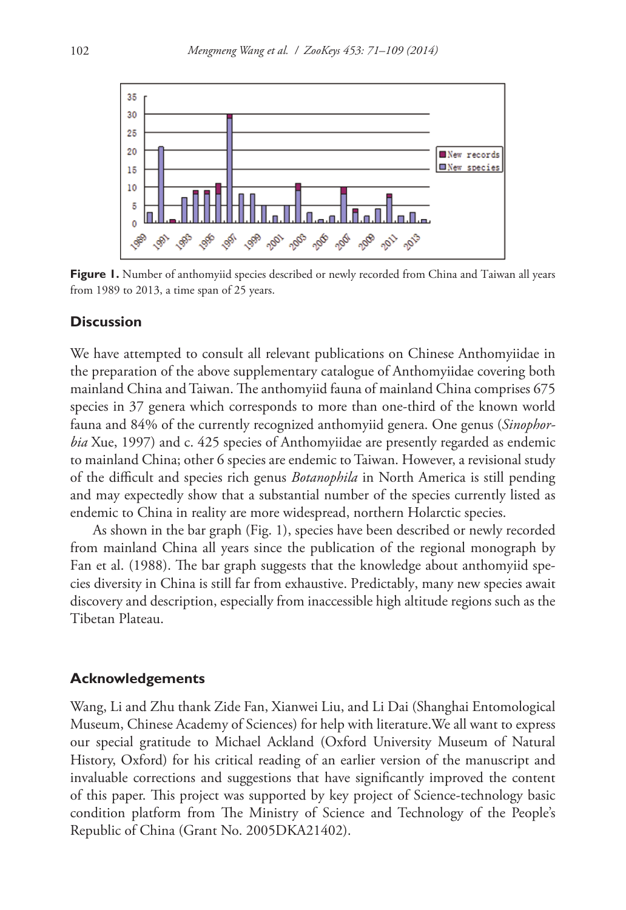

**Figure 1.** Number of anthomyiid species described or newly recorded from China and Taiwan all years from 1989 to 2013, a time span of 25 years.

### **Discussion**

We have attempted to consult all relevant publications on Chinese Anthomyiidae in the preparation of the above supplementary catalogue of Anthomyiidae covering both mainland China and Taiwan. The anthomyiid fauna of mainland China comprises 675 species in 37 genera which corresponds to more than one-third of the known world fauna and 84% of the currently recognized anthomyiid genera. One genus (*Sinophorbia* Xue, 1997) and c. 425 species of Anthomyiidae are presently regarded as endemic to mainland China; other 6 species are endemic to Taiwan. However, a revisional study of the difficult and species rich genus *Botanophila* in North America is still pending and may expectedly show that a substantial number of the species currently listed as endemic to China in reality are more widespread, northern Holarctic species.

As shown in the bar graph (Fig. 1), species have been described or newly recorded from mainland China all years since the publication of the regional monograph by Fan et al. (1988). The bar graph suggests that the knowledge about anthomyiid species diversity in China is still far from exhaustive. Predictably, many new species await discovery and description, especially from inaccessible high altitude regions such as the Tibetan Plateau.

#### **Acknowledgements**

Wang, Li and Zhu thank Zide Fan, Xianwei Liu, and Li Dai (Shanghai Entomological Museum, Chinese Academy of Sciences) for help with literature.We all want to express our special gratitude to Michael Ackland (Oxford University Museum of Natural History, Oxford) for his critical reading of an earlier version of the manuscript and invaluable corrections and suggestions that have significantly improved the content of this paper. This project was supported by key project of Science-technology basic condition platform from The Ministry of Science and Technology of the People's Republic of China (Grant No. 2005DKA21402).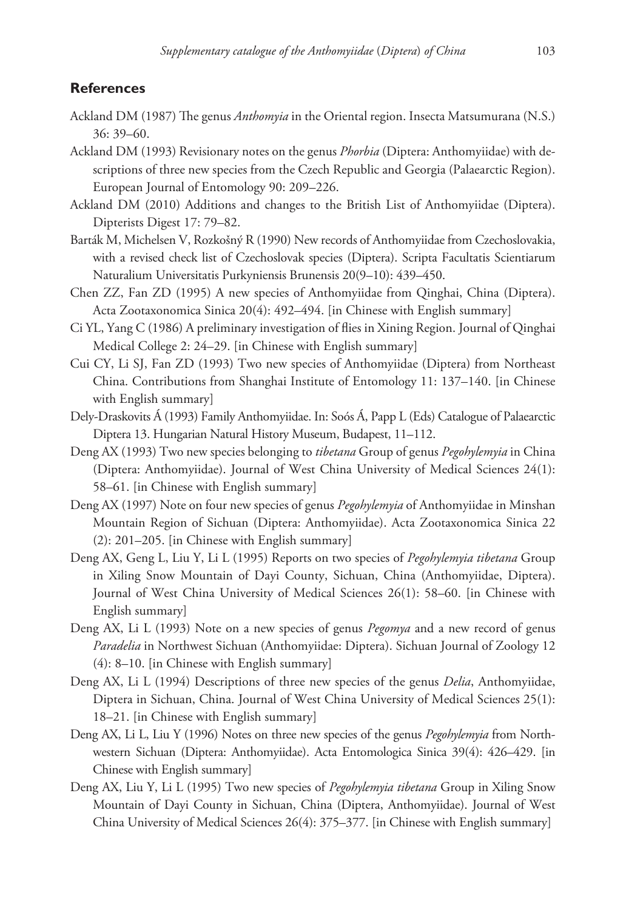# **References**

- Ackland DM (1987) The genus *Anthomyia* in the Oriental region. Insecta Matsumurana (N.S.) 36: 39–60.
- Ackland DM (1993) Revisionary notes on the genus *Phorbia* (Diptera: Anthomyiidae) with descriptions of three new species from the Czech Republic and Georgia (Palaearctic Region). European Journal of Entomology 90: 209–226.
- Ackland DM (2010) Additions and changes to the British List of Anthomyiidae (Diptera). Dipterists Digest 17: 79–82.
- Barták M, Michelsen V, Rozkošný R (1990) New records of Anthomyiidae from Czechoslovakia, with a revised check list of Czechoslovak species (Diptera). Scripta Facultatis Scientiarum Naturalium Universitatis Purkyniensis Brunensis 20(9–10): 439–450.
- Chen ZZ, Fan ZD (1995) A new species of Anthomyiidae from Qinghai, China (Diptera). Acta Zootaxonomica Sinica 20(4): 492–494. [in Chinese with English summary]
- Ci YL, Yang C (1986) A preliminary investigation of flies in Xining Region. Journal of Qinghai Medical College 2: 24–29. [in Chinese with English summary]
- Cui CY, Li SJ, Fan ZD (1993) Two new species of Anthomyiidae (Diptera) from Northeast China. Contributions from Shanghai Institute of Entomology 11: 137–140. [in Chinese with English summary]
- Dely-Draskovits Á (1993) Family Anthomyiidae. In: Soós Á, Papp L (Eds) Catalogue of Palaearctic Diptera 13. Hungarian Natural History Museum, Budapest, 11–112.
- Deng AX (1993) Two new species belonging to *tibetana* Group of genus *Pegohylemyia* in China (Diptera: Anthomyiidae). Journal of West China University of Medical Sciences 24(1): 58–61. [in Chinese with English summary]
- Deng AX (1997) Note on four new species of genus *Pegohylemyia* of Anthomyiidae in Minshan Mountain Region of Sichuan (Diptera: Anthomyiidae). Acta Zootaxonomica Sinica 22 (2): 201–205. [in Chinese with English summary]
- Deng AX, Geng L, Liu Y, Li L (1995) Reports on two species of *Pegohylemyia tibetana* Group in Xiling Snow Mountain of Dayi County, Sichuan, China (Anthomyiidae, Diptera). Journal of West China University of Medical Sciences 26(1): 58–60. [in Chinese with English summary]
- Deng AX, Li L (1993) Note on a new species of genus *Pegomya* and a new record of genus *Paradelia* in Northwest Sichuan (Anthomyiidae: Diptera). Sichuan Journal of Zoology 12 (4): 8–10. [in Chinese with English summary]
- Deng AX, Li L (1994) Descriptions of three new species of the genus *Delia*, Anthomyiidae, Diptera in Sichuan, China. Journal of West China University of Medical Sciences 25(1): 18–21. [in Chinese with English summary]
- Deng AX, Li L, Liu Y (1996) Notes on three new species of the genus *Pegohylemyia* from Northwestern Sichuan (Diptera: Anthomyiidae). Acta Entomologica Sinica 39(4): 426–429. [in Chinese with English summary]
- Deng AX, Liu Y, Li L (1995) Two new species of *Pegohylemyia tibetana* Group in Xiling Snow Mountain of Dayi County in Sichuan, China (Diptera, Anthomyiidae). Journal of West China University of Medical Sciences 26(4): 375–377. [in Chinese with English summary]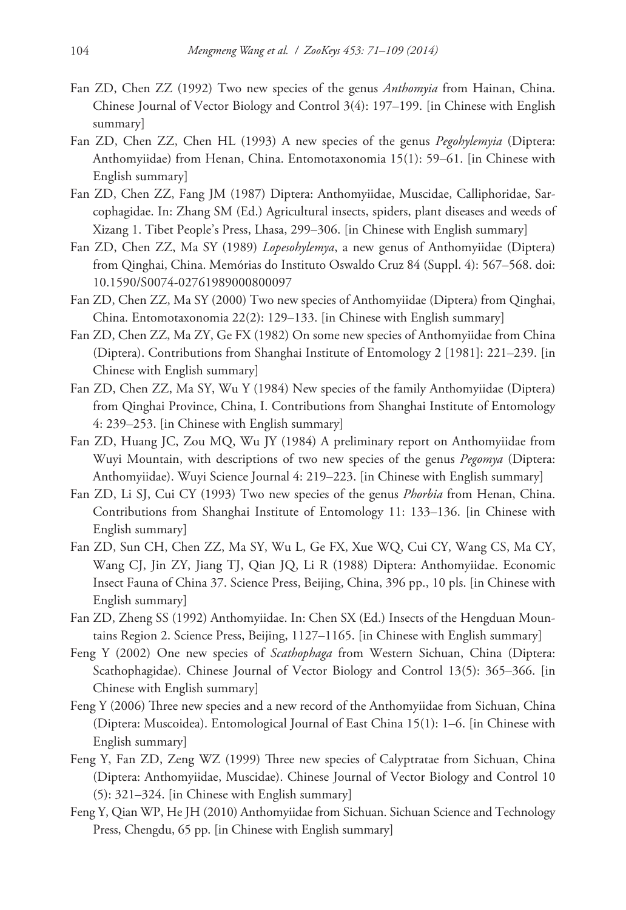- Fan ZD, Chen ZZ (1992) Two new species of the genus *Anthomyia* from Hainan, China. Chinese Journal of Vector Biology and Control 3(4): 197–199. [in Chinese with English summary]
- Fan ZD, Chen ZZ, Chen HL (1993) A new species of the genus *Pegohylemyia* (Diptera: Anthomyiidae) from Henan, China. Entomotaxonomia 15(1): 59–61. [in Chinese with English summary]
- Fan ZD, Chen ZZ, Fang JM (1987) Diptera: Anthomyiidae, Muscidae, Calliphoridae, Sarcophagidae. In: Zhang SM (Ed.) Agricultural insects, spiders, plant diseases and weeds of Xizang 1. Tibet People's Press, Lhasa, 299–306. [in Chinese with English summary]
- Fan ZD, Chen ZZ, Ma SY (1989) *Lopesohylemya*, a new genus of Anthomyiidae (Diptera) from Qinghai, China. Memórias do Instituto Oswaldo Cruz 84 (Suppl. 4): 567–568. [doi:](http://dx.doi.org/10.1590/S0074-02761989000800097) [10.1590/S0074-02761989000800097](http://dx.doi.org/10.1590/S0074-02761989000800097)
- Fan ZD, Chen ZZ, Ma SY (2000) Two new species of Anthomyiidae (Diptera) from Qinghai, China. Entomotaxonomia 22(2): 129–133. [in Chinese with English summary]
- Fan ZD, Chen ZZ, Ma ZY, Ge FX (1982) On some new species of Anthomyiidae from China (Diptera). Contributions from Shanghai Institute of Entomology 2 [1981]: 221–239. [in Chinese with English summary]
- Fan ZD, Chen ZZ, Ma SY, Wu Y (1984) New species of the family Anthomyiidae (Diptera) from Qinghai Province, China, I. Contributions from Shanghai Institute of Entomology 4: 239–253. [in Chinese with English summary]
- Fan ZD, Huang JC, Zou MQ, Wu JY (1984) A preliminary report on Anthomyiidae from Wuyi Mountain, with descriptions of two new species of the genus *Pegomya* (Diptera: Anthomyiidae). Wuyi Science Journal 4: 219–223. [in Chinese with English summary]
- Fan ZD, Li SJ, Cui CY (1993) Two new species of the genus *Phorbia* from Henan, China. Contributions from Shanghai Institute of Entomology 11: 133–136. [in Chinese with English summary]
- Fan ZD, Sun CH, Chen ZZ, Ma SY, Wu L, Ge FX, Xue WQ, Cui CY, Wang CS, Ma CY, Wang CJ, Jin ZY, Jiang TJ, Qian JQ, Li R (1988) Diptera: Anthomyiidae. Economic Insect Fauna of China 37. Science Press, Beijing, China, 396 pp., 10 pls. [in Chinese with English summary]
- Fan ZD, Zheng SS (1992) Anthomyiidae. In: Chen SX (Ed.) Insects of the Hengduan Mountains Region 2. Science Press, Beijing, 1127–1165. [in Chinese with English summary]
- Feng Y (2002) One new species of *Scathophaga* from Western Sichuan, China (Diptera: Scathophagidae). Chinese Journal of Vector Biology and Control 13(5): 365–366. [in Chinese with English summary]
- Feng Y (2006) Three new species and a new record of the Anthomyiidae from Sichuan, China (Diptera: Muscoidea). Entomological Journal of East China 15(1): 1–6. [in Chinese with English summary]
- Feng Y, Fan ZD, Zeng WZ (1999) Three new species of Calyptratae from Sichuan, China (Diptera: Anthomyiidae, Muscidae). Chinese Journal of Vector Biology and Control 10 (5): 321–324. [in Chinese with English summary]
- Feng Y, Qian WP, He JH (2010) Anthomyiidae from Sichuan. Sichuan Science and Technology Press, Chengdu, 65 pp. [in Chinese with English summary]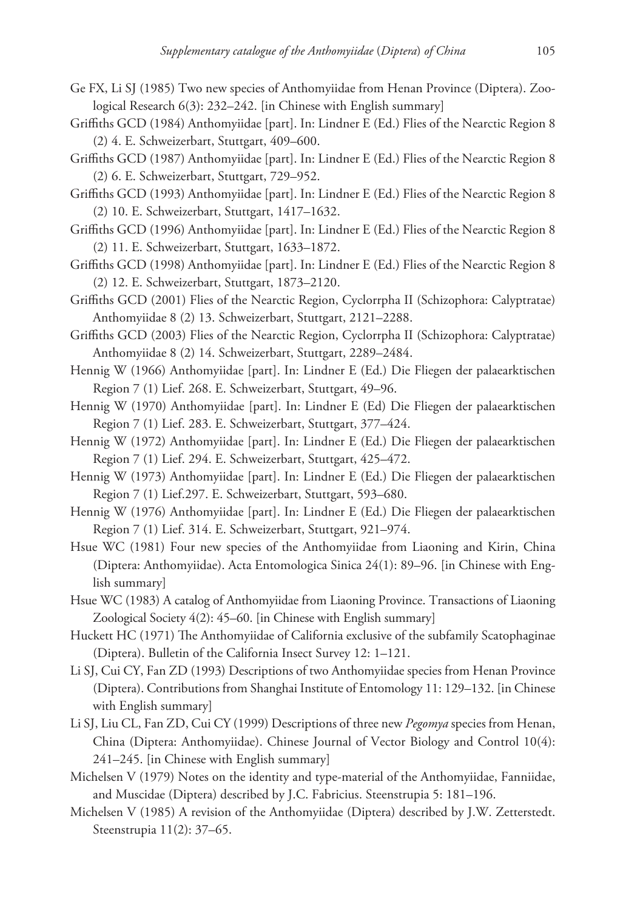- Ge FX, Li SJ (1985) Two new species of Anthomyiidae from Henan Province (Diptera). Zoological Research 6(3): 232–242. [in Chinese with English summary]
- Griffiths GCD (1984) Anthomyiidae [part]. In: Lindner E (Ed.) Flies of the Nearctic Region 8 (2) 4. E. Schweizerbart, Stuttgart, 409–600.
- Griffiths GCD (1987) Anthomyiidae [part]. In: Lindner E (Ed.) Flies of the Nearctic Region 8 (2) 6. E. Schweizerbart, Stuttgart, 729–952.
- Griffiths GCD (1993) Anthomyiidae [part]. In: Lindner E (Ed.) Flies of the Nearctic Region 8 (2) 10. E. Schweizerbart, Stuttgart, 1417–1632.
- Griffiths GCD (1996) Anthomyiidae [part]. In: Lindner E (Ed.) Flies of the Nearctic Region 8 (2) 11. E. Schweizerbart, Stuttgart, 1633–1872.
- Griffiths GCD (1998) Anthomyiidae [part]. In: Lindner E (Ed.) Flies of the Nearctic Region 8 (2) 12. E. Schweizerbart, Stuttgart, 1873–2120.
- Griffiths GCD (2001) Flies of the Nearctic Region, Cyclorrpha II (Schizophora: Calyptratae) Anthomyiidae 8 (2) 13. Schweizerbart, Stuttgart, 2121–2288.
- Griffiths GCD (2003) Flies of the Nearctic Region, Cyclorrpha II (Schizophora: Calyptratae) Anthomyiidae 8 (2) 14. Schweizerbart, Stuttgart, 2289–2484.
- Hennig W (1966) Anthomyiidae [part]. In: Lindner E (Ed.) Die Fliegen der palaearktischen Region 7 (1) Lief. 268. E. Schweizerbart, Stuttgart, 49–96.
- Hennig W (1970) Anthomyiidae [part]. In: Lindner E (Ed) Die Fliegen der palaearktischen Region 7 (1) Lief. 283. E. Schweizerbart, Stuttgart, 377–424.
- Hennig W (1972) Anthomyiidae [part]. In: Lindner E (Ed.) Die Fliegen der palaearktischen Region 7 (1) Lief. 294. E. Schweizerbart, Stuttgart, 425–472.
- Hennig W (1973) Anthomyiidae [part]. In: Lindner E (Ed.) Die Fliegen der palaearktischen Region 7 (1) Lief.297. E. Schweizerbart, Stuttgart, 593–680.
- Hennig W (1976) Anthomyiidae [part]. In: Lindner E (Ed.) Die Fliegen der palaearktischen Region 7 (1) Lief. 314. E. Schweizerbart, Stuttgart, 921–974.
- Hsue WC (1981) Four new species of the Anthomyiidae from Liaoning and Kirin, China (Diptera: Anthomyiidae). Acta Entomologica Sinica 24(1): 89–96. [in Chinese with English summary]
- Hsue WC (1983) A catalog of Anthomyiidae from Liaoning Province. Transactions of Liaoning Zoological Society 4(2): 45–60. [in Chinese with English summary]
- Huckett HC (1971) The Anthomyiidae of California exclusive of the subfamily Scatophaginae (Diptera). Bulletin of the California Insect Survey 12: 1–121.
- Li SJ, Cui CY, Fan ZD (1993) Descriptions of two Anthomyiidae species from Henan Province (Diptera). Contributions from Shanghai Institute of Entomology 11: 129–132. [in Chinese with English summary]
- Li SJ, Liu CL, Fan ZD, Cui CY (1999) Descriptions of three new *Pegomya* species from Henan, China (Diptera: Anthomyiidae). Chinese Journal of Vector Biology and Control 10(4): 241–245. [in Chinese with English summary]
- Michelsen V (1979) Notes on the identity and type-material of the Anthomyiidae, Fanniidae, and Muscidae (Diptera) described by J.C. Fabricius. Steenstrupia 5: 181–196.
- Michelsen V (1985) A revision of the Anthomyiidae (Diptera) described by J.W. Zetterstedt. Steenstrupia 11(2): 37–65.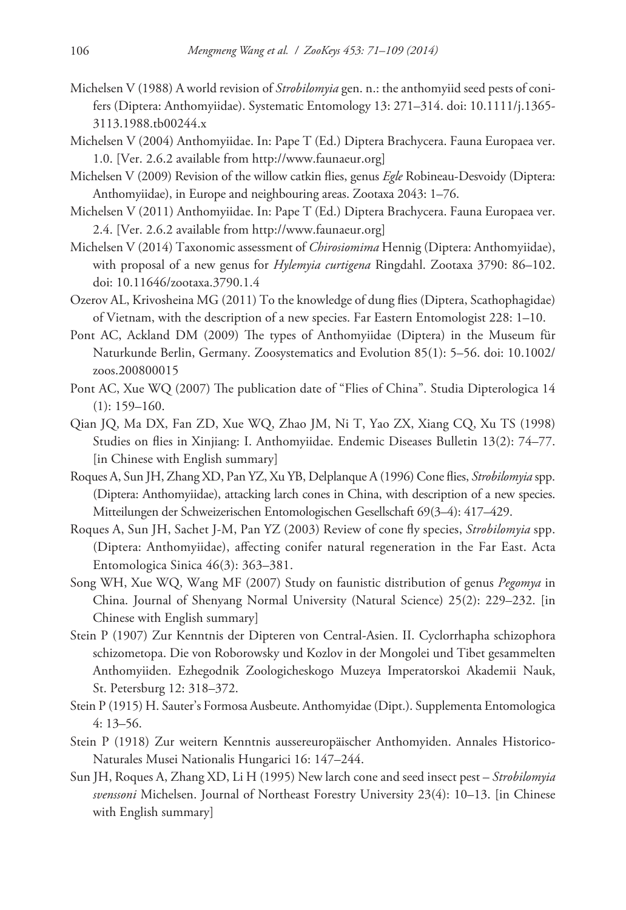- Michelsen V (1988) A world revision of *Strobilomyia* gen. n.: the anthomyiid seed pests of conifers (Diptera: Anthomyiidae). Systematic Entomology 13: 271–314. [doi: 10.1111/j.1365-](http://dx.doi.org/10.1111/j.1365-3113.1988.tb00244.x) [3113.1988.tb00244.x](http://dx.doi.org/10.1111/j.1365-3113.1988.tb00244.x)
- Michelsen V (2004) Anthomyiidae. In: Pape T (Ed.) Diptera Brachycera. Fauna Europaea ver. 1.0. [Ver. 2.6.2 available from [http://www.faunaeur.org\]](http://www.faunaeur.org)
- Michelsen V (2009) Revision of the willow catkin flies, genus *Egle* Robineau-Desvoidy (Diptera: Anthomyiidae), in Europe and neighbouring areas. Zootaxa 2043: 1–76.
- Michelsen V (2011) Anthomyiidae. In: Pape T (Ed.) Diptera Brachycera. Fauna Europaea ver. 2.4. [Ver. 2.6.2 available from [http://www.faunaeur.org\]](http://www.faunaeur.org)
- Michelsen V (2014) Taxonomic assessment of *Chirosiomima* Hennig (Diptera: Anthomyiidae), with proposal of a new genus for *Hylemyia curtigena* Ringdahl. Zootaxa 3790: 86–102. [doi: 10.11646/zootaxa.3790.1.4](http://dx.doi.org/10.11646/zootaxa.3790.1.4)
- Ozerov AL, Krivosheina MG (2011) To the knowledge of dung flies (Diptera, Scathophagidae) of Vietnam, with the description of a new species. Far Eastern Entomologist 228: 1–10.
- Pont AC, Ackland DM (2009) The types of Anthomyiidae (Diptera) in the Museum für Naturkunde Berlin, Germany. Zoosystematics and Evolution 85(1): 5–56. [doi: 10.1002/](http://dx.doi.org/10.1002/zoos.200800015) [zoos.200800015](http://dx.doi.org/10.1002/zoos.200800015)
- Pont AC, Xue WQ (2007) The publication date of "Flies of China". Studia Dipterologica 14  $(1): 159-160.$
- Qian JQ, Ma DX, Fan ZD, Xue WQ, Zhao JM, Ni T, Yao ZX, Xiang CQ, Xu TS (1998) Studies on flies in Xinjiang: I. Anthomyiidae. Endemic Diseases Bulletin 13(2): 74–77. [in Chinese with English summary]
- Roques A, Sun JH, Zhang XD, Pan YZ, Xu YB, Delplanque A (1996) Cone flies, *Strobilomyia* spp. (Diptera: Anthomyiidae), attacking larch cones in China, with description of a new species. Mitteilungen der Schweizerischen Entomologischen Gesellschaft 69(3–4): 417–429.
- Roques A, Sun JH, Sachet J-M, Pan YZ (2003) Review of cone fly species, *Strobilomyia* spp. (Diptera: Anthomyiidae), affecting conifer natural regeneration in the Far East. Acta Entomologica Sinica 46(3): 363–381.
- Song WH, Xue WQ, Wang MF (2007) Study on faunistic distribution of genus *Pegomya* in China. Journal of Shenyang Normal University (Natural Science) 25(2): 229–232. [in Chinese with English summary]
- Stein P (1907) Zur Kenntnis der Dipteren von Central-Asien. II. Cyclorrhapha schizophora schizometopa. Die von Roborowsky und Kozlov in der Mongolei und Tibet gesammelten Anthomyiiden. Ezhegodnik Zoologicheskogo Muzeya Imperatorskoi Akademii Nauk, St. Petersburg 12: 318–372.
- Stein P (1915) H. Sauter's Formosa Ausbeute. Anthomyidae (Dipt.). Supplementa Entomologica 4: 13–56.
- Stein P (1918) Zur weitern Kenntnis aussereuropäischer Anthomyiden. Annales Historico-Naturales Musei Nationalis Hungarici 16: 147–244.
- Sun JH, Roques A, Zhang XD, Li H (1995) New larch cone and seed insect pest *Strobilomyia svenssoni* Michelsen. Journal of Northeast Forestry University 23(4): 10–13. [in Chinese with English summary]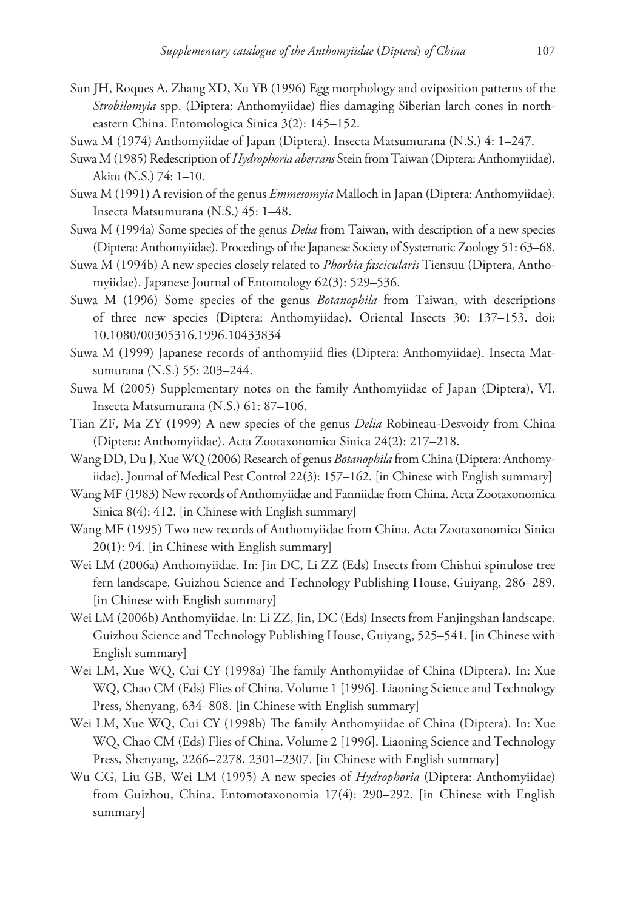- Sun JH, Roques A, Zhang XD, Xu YB (1996) Egg morphology and oviposition patterns of the *Strobilomyia* spp. (Diptera: Anthomyiidae) flies damaging Siberian larch cones in northeastern China. Entomologica Sinica 3(2): 145–152.
- Suwa M (1974) Anthomyiidae of Japan (Diptera). Insecta Matsumurana (N.S.) 4: 1–247.
- Suwa M (1985) Redescription of *Hydrophoria aberrans* Stein from Taiwan (Diptera: Anthomyiidae). Akitu (N.S.) 74: 1–10.
- Suwa M (1991) A revision of the genus *Emmesomyia* Malloch in Japan (Diptera: Anthomyiidae). Insecta Matsumurana (N.S.) 45: 1–48.
- Suwa M (1994a) Some species of the genus *Delia* from Taiwan, with description of a new species (Diptera: Anthomyiidae). Procedings of the Japanese Society of Systematic Zoology 51: 63–68.
- Suwa M (1994b) A new species closely related to *Phorbia fascicularis* Tiensuu (Diptera, Anthomyiidae). Japanese Journal of Entomology 62(3): 529–536.
- Suwa M (1996) Some species of the genus *Botanophila* from Taiwan, with descriptions of three new species (Diptera: Anthomyiidae). Oriental Insects 30: 137–153. [doi:](http://dx.doi.org/10.1080/00305316.1996.10433834) [10.1080/00305316.1996.10433834](http://dx.doi.org/10.1080/00305316.1996.10433834)
- Suwa M (1999) Japanese records of anthomyiid flies (Diptera: Anthomyiidae). Insecta Matsumurana (N.S.) 55: 203–244.
- Suwa M (2005) Supplementary notes on the family Anthomyiidae of Japan (Diptera), VI. Insecta Matsumurana (N.S.) 61: 87–106.
- Tian ZF, Ma ZY (1999) A new species of the genus *Delia* Robineau-Desvoidy from China (Diptera: Anthomyiidae). Acta Zootaxonomica Sinica 24(2): 217–218.
- Wang DD, Du J, Xue WQ (2006) Research of genus *Botanophila* from China (Diptera: Anthomyiidae). Journal of Medical Pest Control 22(3): 157–162. [in Chinese with English summary]
- Wang MF (1983) New records of Anthomyiidae and Fanniidae from China. Acta Zootaxonomica Sinica 8(4): 412. [in Chinese with English summary]
- Wang MF (1995) Two new records of Anthomyiidae from China. Acta Zootaxonomica Sinica 20(1): 94. [in Chinese with English summary]
- Wei LM (2006a) Anthomyiidae. In: Jin DC, Li ZZ (Eds) Insects from Chishui spinulose tree fern landscape. Guizhou Science and Technology Publishing House, Guiyang, 286–289. [in Chinese with English summary]
- Wei LM (2006b) Anthomyiidae. In: Li ZZ, Jin, DC (Eds) Insects from Fanjingshan landscape. Guizhou Science and Technology Publishing House, Guiyang, 525–541. [in Chinese with English summary]
- Wei LM, Xue WQ, Cui CY (1998a) The family Anthomyiidae of China (Diptera). In: Xue WQ, Chao CM (Eds) Flies of China. Volume 1 [1996]. Liaoning Science and Technology Press, Shenyang, 634–808. [in Chinese with English summary]
- Wei LM, Xue WQ, Cui CY (1998b) The family Anthomyiidae of China (Diptera). In: Xue WQ, Chao CM (Eds) Flies of China. Volume 2 [1996]. Liaoning Science and Technology Press, Shenyang, 2266–2278, 2301–2307. [in Chinese with English summary]
- Wu CG, Liu GB, Wei LM (1995) A new species of *Hydrophoria* (Diptera: Anthomyiidae) from Guizhou, China. Entomotaxonomia 17(4): 290–292. [in Chinese with English summary]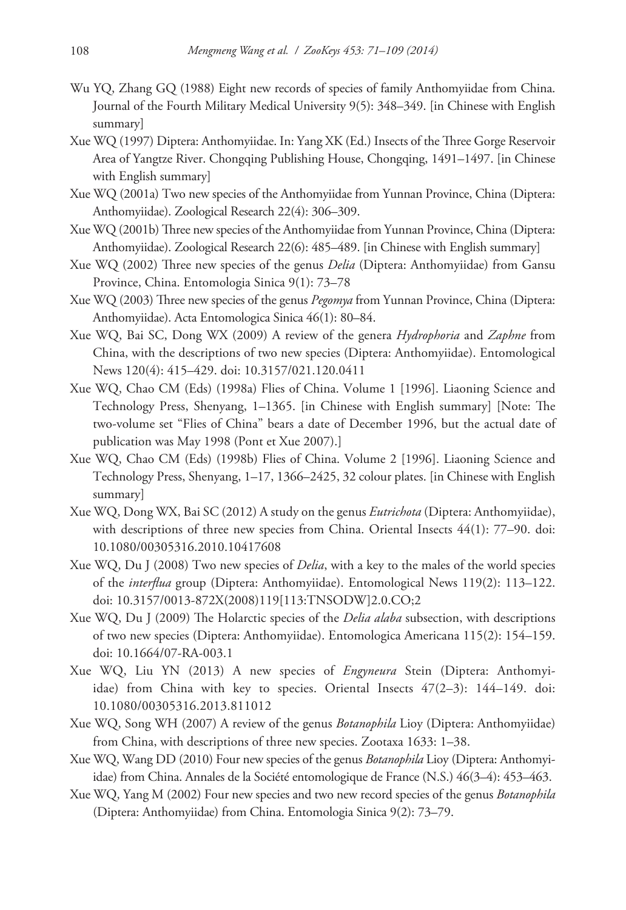- Wu YQ, Zhang GQ (1988) Eight new records of species of family Anthomyiidae from China. Journal of the Fourth Military Medical University 9(5): 348–349. [in Chinese with English summary]
- Xue WQ (1997) Diptera: Anthomyiidae. In: Yang XK (Ed.) Insects of the Three Gorge Reservoir Area of Yangtze River. Chongqing Publishing House, Chongqing, 1491–1497. [in Chinese with English summary]
- Xue WQ (2001a) Two new species of the Anthomyiidae from Yunnan Province, China (Diptera: Anthomyiidae). Zoological Research 22(4): 306–309.
- Xue WQ (2001b) Three new species of the Anthomyiidae from Yunnan Province, China (Diptera: Anthomyiidae). Zoological Research 22(6): 485–489. [in Chinese with English summary]
- Xue WQ (2002) Three new species of the genus *Delia* (Diptera: Anthomyiidae) from Gansu Province, China. Entomologia Sinica 9(1): 73–78
- Xue WQ (2003) Three new species of the genus *Pegomya* from Yunnan Province, China (Diptera: Anthomyiidae). Acta Entomologica Sinica 46(1): 80–84.
- Xue WQ, Bai SC, Dong WX (2009) A review of the genera *Hydrophoria* and *Zaphne* from China, with the descriptions of two new species (Diptera: Anthomyiidae). Entomological News 120(4): 415–429. [doi: 10.3157/021.120.0411](http://dx.doi.org/10.3157/021.120.0411)
- Xue WQ, Chao CM (Eds) (1998a) Flies of China. Volume 1 [1996]. Liaoning Science and Technology Press, Shenyang, 1–1365. [in Chinese with English summary] [Note: The two-volume set "Flies of China" bears a date of December 1996, but the actual date of publication was May 1998 (Pont et Xue 2007).]
- Xue WQ, Chao CM (Eds) (1998b) Flies of China. Volume 2 [1996]. Liaoning Science and Technology Press, Shenyang, 1–17, 1366–2425, 32 colour plates. [in Chinese with English summary]
- Xue WQ, Dong WX, Bai SC (2012) A study on the genus *Eutrichota* (Diptera: Anthomyiidae), with descriptions of three new species from China. Oriental Insects 44(1): 77–90. [doi:](http://dx.doi.org/10.1080/00305316.2010.10417608) [10.1080/00305316.2010.10417608](http://dx.doi.org/10.1080/00305316.2010.10417608)
- Xue WQ, Du J (2008) Two new species of *Delia*, with a key to the males of the world species of the *interflua* group (Diptera: Anthomyiidae). Entomological News 119(2): 113–122. [doi: 10.3157/0013-872X\(2008\)119\[113:TNSODW\]2.0.CO;2](http://dx.doi.org/10.3157/0013-872X(2008)119%5B113:TNSODW%5D2.0.CO;2)
- Xue WQ, Du J (2009) The Holarctic species of the *Delia alaba* subsection, with descriptions of two new species (Diptera: Anthomyiidae). Entomologica Americana 115(2): 154–159. [doi: 10.1664/07-RA-003.1](http://dx.doi.org/10.1664/07-RA-003.1)
- Xue WQ, Liu YN (2013) A new species of *Engyneura* Stein (Diptera: Anthomyiidae) from China with key to species. Oriental Insects 47(2–3): 144–149. [doi:](http://dx.doi.org/10.1080/00305316.2013.811012) [10.1080/00305316.2013.811012](http://dx.doi.org/10.1080/00305316.2013.811012)
- Xue WQ, Song WH (2007) A review of the genus *Botanophila* Lioy (Diptera: Anthomyiidae) from China, with descriptions of three new species. Zootaxa 1633: 1–38.
- Xue WQ, Wang DD (2010) Four new species of the genus *Botanophila* Lioy (Diptera: Anthomyiidae) from China. Annales de la Société entomologique de France (N.S.) 46(3–4): 453–463.
- Xue WQ, Yang M (2002) Four new species and two new record species of the genus *Botanophila* (Diptera: Anthomyiidae) from China. Entomologia Sinica 9(2): 73–79.